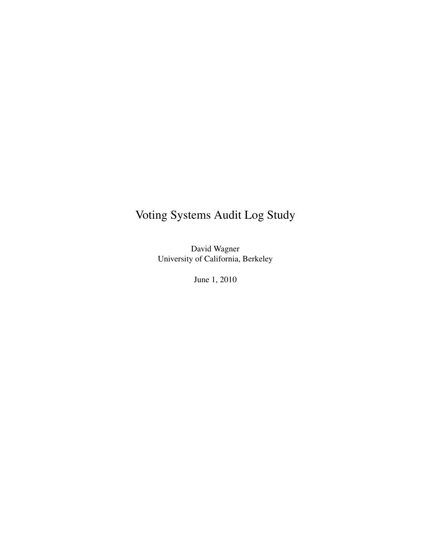# Voting Systems Audit Log Study

David Wagner University of California, Berkeley

June 1, 2010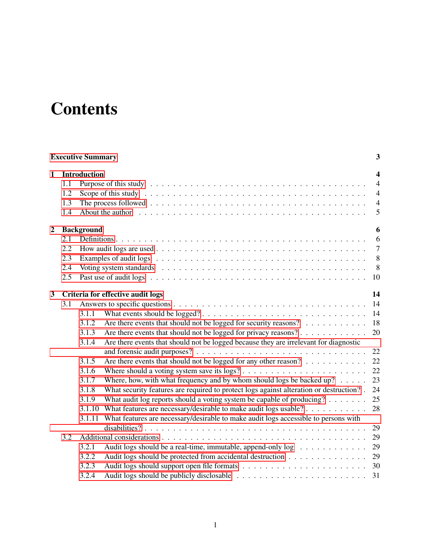# **Contents**

<span id="page-1-0"></span>

|                  | <b>Executive Summary</b><br>3   |                                                                                                                                                                                                                                                                                                                                                                                                                                                                                                                                                                                                                                                                                                                                                                                                                                                                        |                                                                             |  |  |  |  |  |  |  |  |
|------------------|---------------------------------|------------------------------------------------------------------------------------------------------------------------------------------------------------------------------------------------------------------------------------------------------------------------------------------------------------------------------------------------------------------------------------------------------------------------------------------------------------------------------------------------------------------------------------------------------------------------------------------------------------------------------------------------------------------------------------------------------------------------------------------------------------------------------------------------------------------------------------------------------------------------|-----------------------------------------------------------------------------|--|--|--|--|--|--|--|--|
| $\mathbf 1$      | 1.1<br>1.2<br>1.3<br>1.4        | <b>Introduction</b><br>About the author response to the contract of the contract of the contract of the author response to the contract of the author of the contract of the contract of the contract of the contract of the contract of the contract                                                                                                                                                                                                                                                                                                                                                                                                                                                                                                                                                                                                                  | $\boldsymbol{4}$<br>$\overline{4}$<br>$\overline{4}$<br>$\overline{4}$<br>5 |  |  |  |  |  |  |  |  |
| $\boldsymbol{2}$ | 2.1<br>2.2<br>2.3<br>2.4<br>2.5 | <b>Background</b>                                                                                                                                                                                                                                                                                                                                                                                                                                                                                                                                                                                                                                                                                                                                                                                                                                                      | 6<br>6<br>$7\phantom{.0}$<br>8<br>8<br>10                                   |  |  |  |  |  |  |  |  |
| $\mathbf{3}$     | 3.1                             | Criteria for effective audit logs<br>3.1.1<br>Are there events that should not be logged for security reasons?<br>3.1.2<br>Are there events that should not be logged for privacy reasons?<br>3.1.3<br>Are there events that should not be logged because they are irrelevant for diagnostic<br>3.1.4<br>Are there events that should not be logged for any other reason?<br>3.1.5<br>3.1.6<br>Where, how, with what frequency and by whom should logs be backed up? $\ldots$ .<br>3.1.7<br>What security features are required to protect logs against alteration or destruction?.<br>3.1.8<br>What audit log reports should a voting system be capable of producing? $\dots$<br>3.1.9<br>What features are necessary/desirable to make audit logs usable?<br>3.1.10<br>What features are necessary/desirable to make audit logs accessible to persons with<br>3.1.11 | 14<br>14<br>14<br>18<br>20<br>22<br>22<br>22<br>23<br>24<br>25<br>28        |  |  |  |  |  |  |  |  |
|                  | 3.2                             | 3.2.1<br>Audit logs should be a real-time, immutable, append-only log<br>3.2.2<br>Audit logs should be protected from accidental destruction<br>3.2.3<br>3.2.4<br>31                                                                                                                                                                                                                                                                                                                                                                                                                                                                                                                                                                                                                                                                                                   | 29<br>29<br>29<br>29<br>30                                                  |  |  |  |  |  |  |  |  |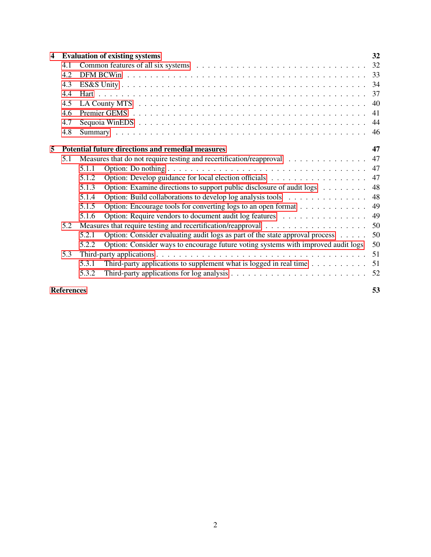| $\overline{\mathbf{4}}$ |                   | <b>Evaluation of existing systems</b>                                                                            | 32 |  |  |  |  |  |  |  |  |
|-------------------------|-------------------|------------------------------------------------------------------------------------------------------------------|----|--|--|--|--|--|--|--|--|
|                         | 4.1               |                                                                                                                  | 32 |  |  |  |  |  |  |  |  |
|                         | 4.2               | 33                                                                                                               |    |  |  |  |  |  |  |  |  |
|                         | 4.3               | 34                                                                                                               |    |  |  |  |  |  |  |  |  |
|                         | 4.4               | 37                                                                                                               |    |  |  |  |  |  |  |  |  |
|                         | 4.5               | 40                                                                                                               |    |  |  |  |  |  |  |  |  |
|                         | 4.6               | 41                                                                                                               |    |  |  |  |  |  |  |  |  |
|                         | 4.7               | 44                                                                                                               |    |  |  |  |  |  |  |  |  |
|                         | 4.8               |                                                                                                                  | 46 |  |  |  |  |  |  |  |  |
| 5                       |                   | Potential future directions and remedial measures<br>47                                                          |    |  |  |  |  |  |  |  |  |
|                         | 5.1               | Measures that do not require testing and recertification/reapproval                                              | 47 |  |  |  |  |  |  |  |  |
|                         |                   | 5.1.1                                                                                                            | 47 |  |  |  |  |  |  |  |  |
|                         |                   | 5.1.2                                                                                                            | 47 |  |  |  |  |  |  |  |  |
|                         |                   | Option: Examine directions to support public disclosure of audit logs<br>5.1.3                                   | 48 |  |  |  |  |  |  |  |  |
|                         |                   | Option: Build collaborations to develop log analysis tools<br>5.1.4                                              | 48 |  |  |  |  |  |  |  |  |
|                         |                   | Option: Encourage tools for converting logs to an open format<br>5.1.5                                           | 49 |  |  |  |  |  |  |  |  |
|                         |                   | Option: Require vendors to document audit log features<br>5.1.6                                                  | 49 |  |  |  |  |  |  |  |  |
|                         | 5.2               |                                                                                                                  | 50 |  |  |  |  |  |  |  |  |
|                         |                   | Option: Consider evaluating audit logs as part of the state approval process $\dots$ .<br>5.2.1                  | 50 |  |  |  |  |  |  |  |  |
|                         |                   | Option: Consider ways to encourage future voting systems with improved audit logs<br>5.2.2                       | 50 |  |  |  |  |  |  |  |  |
|                         | 5.3               |                                                                                                                  | 51 |  |  |  |  |  |  |  |  |
|                         |                   | Third-party applications to supplement what is logged in real time $\dots \dots \dots$<br>5.3.1                  | 51 |  |  |  |  |  |  |  |  |
|                         |                   | Third-party applications for log analysis $\dots \dots \dots \dots \dots \dots \dots \dots \dots \dots$<br>5.3.2 | 52 |  |  |  |  |  |  |  |  |
|                         | <b>References</b> |                                                                                                                  | 53 |  |  |  |  |  |  |  |  |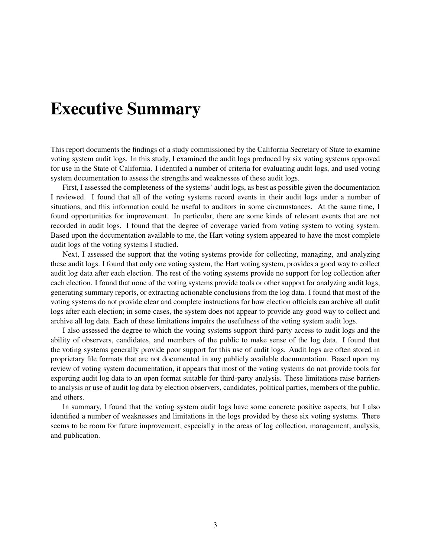# Executive Summary

This report documents the findings of a study commissioned by the California Secretary of State to examine voting system audit logs. In this study, I examined the audit logs produced by six voting systems approved for use in the State of California. I identifed a number of criteria for evaluating audit logs, and used voting system documentation to assess the strengths and weaknesses of these audit logs.

First, I assessed the completeness of the systems' audit logs, as best as possible given the documentation I reviewed. I found that all of the voting systems record events in their audit logs under a number of situations, and this information could be useful to auditors in some circumstances. At the same time, I found opportunities for improvement. In particular, there are some kinds of relevant events that are not recorded in audit logs. I found that the degree of coverage varied from voting system to voting system. Based upon the documentation available to me, the Hart voting system appeared to have the most complete audit logs of the voting systems I studied.

Next, I assessed the support that the voting systems provide for collecting, managing, and analyzing these audit logs. I found that only one voting system, the Hart voting system, provides a good way to collect audit log data after each election. The rest of the voting systems provide no support for log collection after each election. I found that none of the voting systems provide tools or other support for analyzing audit logs, generating summary reports, or extracting actionable conclusions from the log data. I found that most of the voting systems do not provide clear and complete instructions for how election officials can archive all audit logs after each election; in some cases, the system does not appear to provide any good way to collect and archive all log data. Each of these limitations impairs the usefulness of the voting system audit logs.

I also assessed the degree to which the voting systems support third-party access to audit logs and the ability of observers, candidates, and members of the public to make sense of the log data. I found that the voting systems generally provide poor support for this use of audit logs. Audit logs are often stored in proprietary file formats that are not documented in any publicly available documentation. Based upon my review of voting system documentation, it appears that most of the voting systems do not provide tools for exporting audit log data to an open format suitable for third-party analysis. These limitations raise barriers to analysis or use of audit log data by election observers, candidates, political parties, members of the public, and others.

In summary, I found that the voting system audit logs have some concrete positive aspects, but I also identified a number of weaknesses and limitations in the logs provided by these six voting systems. There seems to be room for future improvement, especially in the areas of log collection, management, analysis, and publication.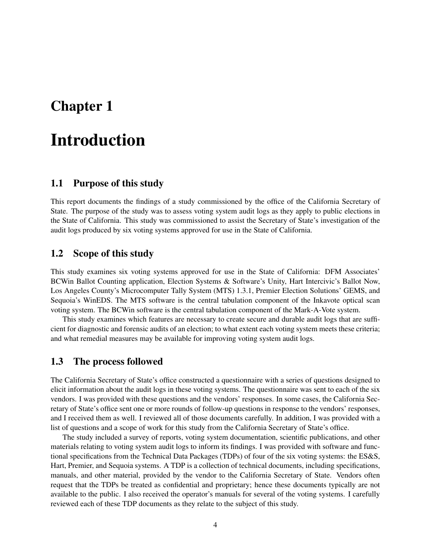# <span id="page-4-0"></span>Chapter 1

# Introduction

# <span id="page-4-1"></span>1.1 Purpose of this study

This report documents the findings of a study commissioned by the office of the California Secretary of State. The purpose of the study was to assess voting system audit logs as they apply to public elections in the State of California. This study was commissioned to assist the Secretary of State's investigation of the audit logs produced by six voting systems approved for use in the State of California.

### <span id="page-4-2"></span>1.2 Scope of this study

This study examines six voting systems approved for use in the State of California: DFM Associates' BCWin Ballot Counting application, Election Systems & Software's Unity, Hart Intercivic's Ballot Now, Los Angeles County's Microcomputer Tally System (MTS) 1.3.1, Premier Election Solutions' GEMS, and Sequoia's WinEDS. The MTS software is the central tabulation component of the Inkavote optical scan voting system. The BCWin software is the central tabulation component of the Mark-A-Vote system.

This study examines which features are necessary to create secure and durable audit logs that are sufficient for diagnostic and forensic audits of an election; to what extent each voting system meets these criteria; and what remedial measures may be available for improving voting system audit logs.

## <span id="page-4-3"></span>1.3 The process followed

The California Secretary of State's office constructed a questionnaire with a series of questions designed to elicit information about the audit logs in these voting systems. The questionnaire was sent to each of the six vendors. I was provided with these questions and the vendors' responses. In some cases, the California Secretary of State's office sent one or more rounds of follow-up questions in response to the vendors' responses, and I received them as well. I reviewed all of those documents carefully. In addition, I was provided with a list of questions and a scope of work for this study from the California Secretary of State's office.

The study included a survey of reports, voting system documentation, scientific publications, and other materials relating to voting system audit logs to inform its findings. I was provided with software and functional specifications from the Technical Data Packages (TDPs) of four of the six voting systems: the ES&S, Hart, Premier, and Sequoia systems. A TDP is a collection of technical documents, including specifications, manuals, and other material, provided by the vendor to the California Secretary of State. Vendors often request that the TDPs be treated as confidential and proprietary; hence these documents typically are not available to the public. I also received the operator's manuals for several of the voting systems. I carefully reviewed each of these TDP documents as they relate to the subject of this study.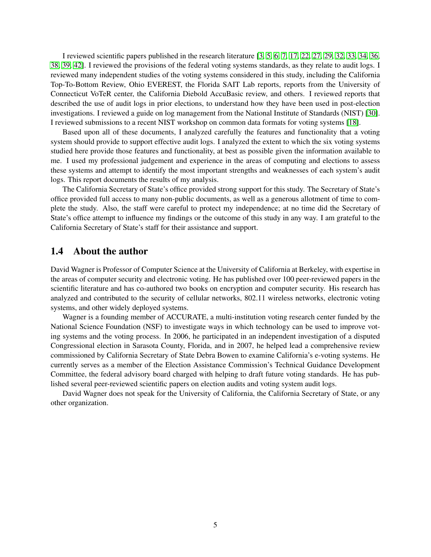I reviewed scientific papers published in the research literature [\[3,](#page-54-0) [5,](#page-54-1) [6,](#page-54-2) [7,](#page-54-3) [17,](#page-55-0) [22,](#page-55-1) [27,](#page-55-2) [29,](#page-55-3) [32,](#page-55-4) [33,](#page-56-0) [34,](#page-56-1) [36,](#page-56-2) [38,](#page-56-3) [39,](#page-56-4) [42\]](#page-56-5). I reviewed the provisions of the federal voting systems standards, as they relate to audit logs. I reviewed many independent studies of the voting systems considered in this study, including the California Top-To-Bottom Review, Ohio EVEREST, the Florida SAIT Lab reports, reports from the University of Connecticut VoTeR center, the California Diebold AccuBasic review, and others. I reviewed reports that described the use of audit logs in prior elections, to understand how they have been used in post-election investigations. I reviewed a guide on log management from the National Institute of Standards (NIST) [\[30\]](#page-55-5). I reviewed submissions to a recent NIST workshop on common data formats for voting systems [\[18\]](#page-55-6).

Based upon all of these documents, I analyzed carefully the features and functionality that a voting system should provide to support effective audit logs. I analyzed the extent to which the six voting systems studied here provide those features and functionality, at best as possible given the information available to me. I used my professional judgement and experience in the areas of computing and elections to assess these systems and attempt to identify the most important strengths and weaknesses of each system's audit logs. This report documents the results of my analysis.

The California Secretary of State's office provided strong support for this study. The Secretary of State's office provided full access to many non-public documents, as well as a generous allotment of time to complete the study. Also, the staff were careful to protect my independence; at no time did the Secretary of State's office attempt to influence my findings or the outcome of this study in any way. I am grateful to the California Secretary of State's staff for their assistance and support.

### <span id="page-5-0"></span>1.4 About the author

David Wagner is Professor of Computer Science at the University of California at Berkeley, with expertise in the areas of computer security and electronic voting. He has published over 100 peer-reviewed papers in the scientific literature and has co-authored two books on encryption and computer security. His research has analyzed and contributed to the security of cellular networks, 802.11 wireless networks, electronic voting systems, and other widely deployed systems.

Wagner is a founding member of ACCURATE, a multi-institution voting research center funded by the National Science Foundation (NSF) to investigate ways in which technology can be used to improve voting systems and the voting process. In 2006, he participated in an independent investigation of a disputed Congressional election in Sarasota County, Florida, and in 2007, he helped lead a comprehensive review commissioned by California Secretary of State Debra Bowen to examine California's e-voting systems. He currently serves as a member of the Election Assistance Commission's Technical Guidance Development Committee, the federal advisory board charged with helping to draft future voting standards. He has published several peer-reviewed scientific papers on election audits and voting system audit logs.

David Wagner does not speak for the University of California, the California Secretary of State, or any other organization.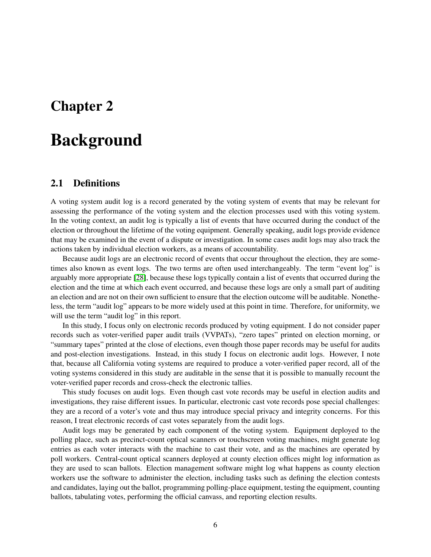# <span id="page-6-0"></span>Chapter 2

# Background

### <span id="page-6-1"></span>2.1 Definitions

A voting system audit log is a record generated by the voting system of events that may be relevant for assessing the performance of the voting system and the election processes used with this voting system. In the voting context, an audit log is typically a list of events that have occurred during the conduct of the election or throughout the lifetime of the voting equipment. Generally speaking, audit logs provide evidence that may be examined in the event of a dispute or investigation. In some cases audit logs may also track the actions taken by individual election workers, as a means of accountability.

Because audit logs are an electronic record of events that occur throughout the election, they are sometimes also known as event logs. The two terms are often used interchangeably. The term "event log" is arguably more appropriate [\[28\]](#page-55-7), because these logs typically contain a list of events that occurred during the election and the time at which each event occurred, and because these logs are only a small part of auditing an election and are not on their own sufficient to ensure that the election outcome will be auditable. Nonetheless, the term "audit log" appears to be more widely used at this point in time. Therefore, for uniformity, we will use the term "audit log" in this report.

In this study, I focus only on electronic records produced by voting equipment. I do not consider paper records such as voter-verified paper audit trails (VVPATs), "zero tapes" printed on election morning, or "summary tapes" printed at the close of elections, even though those paper records may be useful for audits and post-election investigations. Instead, in this study I focus on electronic audit logs. However, I note that, because all California voting systems are required to produce a voter-verified paper record, all of the voting systems considered in this study are auditable in the sense that it is possible to manually recount the voter-verified paper records and cross-check the electronic tallies.

This study focuses on audit logs. Even though cast vote records may be useful in election audits and investigations, they raise different issues. In particular, electronic cast vote records pose special challenges: they are a record of a voter's vote and thus may introduce special privacy and integrity concerns. For this reason, I treat electronic records of cast votes separately from the audit logs.

Audit logs may be generated by each component of the voting system. Equipment deployed to the polling place, such as precinct-count optical scanners or touchscreen voting machines, might generate log entries as each voter interacts with the machine to cast their vote, and as the machines are operated by poll workers. Central-count optical scanners deployed at county election offices might log information as they are used to scan ballots. Election management software might log what happens as county election workers use the software to administer the election, including tasks such as defining the election contests and candidates, laying out the ballot, programming polling-place equipment, testing the equipment, counting ballots, tabulating votes, performing the official canvass, and reporting election results.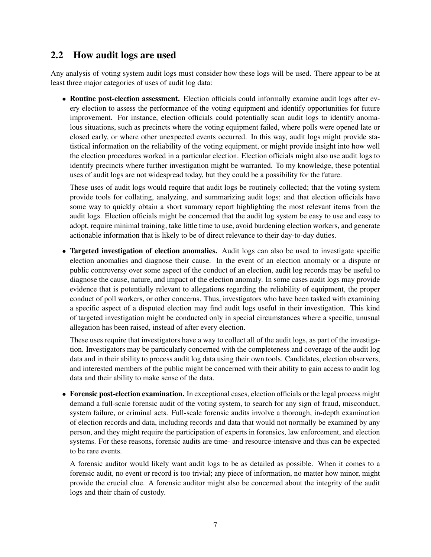# <span id="page-7-0"></span>2.2 How audit logs are used

Any analysis of voting system audit logs must consider how these logs will be used. There appear to be at least three major categories of uses of audit log data:

• Routine post-election assessment. Election officials could informally examine audit logs after every election to assess the performance of the voting equipment and identify opportunities for future improvement. For instance, election officials could potentially scan audit logs to identify anomalous situations, such as precincts where the voting equipment failed, where polls were opened late or closed early, or where other unexpected events occurred. In this way, audit logs might provide statistical information on the reliability of the voting equipment, or might provide insight into how well the election procedures worked in a particular election. Election officials might also use audit logs to identify precincts where further investigation might be warranted. To my knowledge, these potential uses of audit logs are not widespread today, but they could be a possibility for the future.

These uses of audit logs would require that audit logs be routinely collected; that the voting system provide tools for collating, analyzing, and summarizing audit logs; and that election officials have some way to quickly obtain a short summary report highlighting the most relevant items from the audit logs. Election officials might be concerned that the audit log system be easy to use and easy to adopt, require minimal training, take little time to use, avoid burdening election workers, and generate actionable information that is likely to be of direct relevance to their day-to-day duties.

• Targeted investigation of election anomalies. Audit logs can also be used to investigate specific election anomalies and diagnose their cause. In the event of an election anomaly or a dispute or public controversy over some aspect of the conduct of an election, audit log records may be useful to diagnose the cause, nature, and impact of the election anomaly. In some cases audit logs may provide evidence that is potentially relevant to allegations regarding the reliability of equipment, the proper conduct of poll workers, or other concerns. Thus, investigators who have been tasked with examining a specific aspect of a disputed election may find audit logs useful in their investigation. This kind of targeted investigation might be conducted only in special circumstances where a specific, unusual allegation has been raised, instead of after every election.

These uses require that investigators have a way to collect all of the audit logs, as part of the investigation. Investigators may be particularly concerned with the completeness and coverage of the audit log data and in their ability to process audit log data using their own tools. Candidates, election observers, and interested members of the public might be concerned with their ability to gain access to audit log data and their ability to make sense of the data.

• Forensic post-election examination. In exceptional cases, election officials or the legal process might demand a full-scale forensic audit of the voting system, to search for any sign of fraud, misconduct, system failure, or criminal acts. Full-scale forensic audits involve a thorough, in-depth examination of election records and data, including records and data that would not normally be examined by any person, and they might require the participation of experts in forensics, law enforcement, and election systems. For these reasons, forensic audits are time- and resource-intensive and thus can be expected to be rare events.

A forensic auditor would likely want audit logs to be as detailed as possible. When it comes to a forensic audit, no event or record is too trivial; any piece of information, no matter how minor, might provide the crucial clue. A forensic auditor might also be concerned about the integrity of the audit logs and their chain of custody.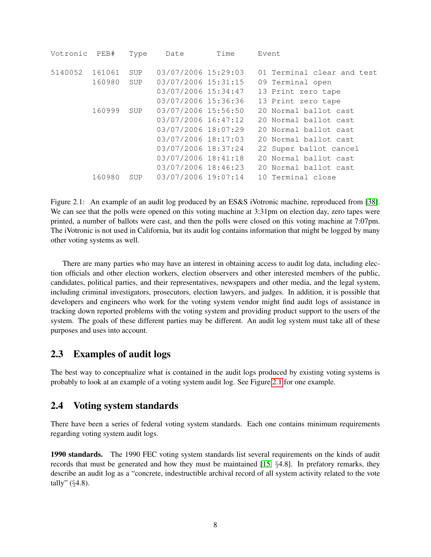| Votronic | PEB#   | Type       | Date                | Time | Event                      |
|----------|--------|------------|---------------------|------|----------------------------|
| 5140052  | 161061 | SUP        | 03/07/2006 15:29:03 |      | 01 Terminal clear and test |
|          | 160980 | SUP        | 03/07/2006 15:31:15 |      | 09 Terminal open           |
|          |        |            | 03/07/2006 15:34:47 |      | 13 Print zero tape         |
|          |        |            | 03/07/2006 15:36:36 |      | 13 Print zero tape         |
|          | 160999 | SUP        | 03/07/2006 15:56:50 |      | 20 Normal ballot cast      |
|          |        |            | 03/07/2006 16:47:12 |      | 20 Normal ballot cast      |
|          |        |            | 03/07/2006 18:07:29 |      | 20 Normal ballot cast      |
|          |        |            | 03/07/2006 18:17:03 |      | 20 Normal ballot cast      |
|          |        |            | 03/07/2006 18:37:24 |      | 22 Super ballot cancel     |
|          |        |            | 03/07/2006 18:41:18 |      | 20 Normal ballot cast      |
|          |        |            | 03/07/2006 18:46:23 |      | 20 Normal ballot cast      |
|          | 160980 | <b>SUP</b> | 03/07/2006 19:07:14 |      | 10 Terminal close          |

<span id="page-8-2"></span>Figure 2.1: An example of an audit log produced by an ES&S iVotronic machine, reproduced from [\[38\]](#page-56-3). We can see that the polls were opened on this voting machine at  $3:31$ pm on election day, zero tapes were printed, a number of ballots were cast, and then the polls were closed on this voting machine at 7:07pm. The iVotronic is not used in California, but its audit log contains information that might be logged by many other voting systems as well.

There are many parties who may have an interest in obtaining access to audit log data, including election officials and other election workers, election observers and other interested members of the public, candidates, political parties, and their representatives, newspapers and other media, and the legal system, including criminal investigators, prosecutors, election lawyers, and judges. In addition, it is possible that developers and engineers who work for the voting system vendor might find audit logs of assistance in tracking down reported problems with the voting system and providing product support to the users of the system. The goals of these different parties may be different. An audit log system must take all of these purposes and uses into account.

## <span id="page-8-0"></span>2.3 Examples of audit logs

The best way to conceptualize what is contained in the audit logs produced by existing voting systems is probably to look at an example of a voting system audit log. See Figure [2.1](#page-8-2) for one example.

## <span id="page-8-1"></span>2.4 Voting system standards

There have been a series of federal voting system standards. Each one contains minimum requirements regarding voting system audit logs.

1990 standards. The 1990 FEC voting system standards list several requirements on the kinds of audit records that must be generated and how they must be maintained  $[15, \{4.8\}]$  $[15, \{4.8\}]$ . In prefatory remarks, they describe an audit log as a "concrete, indestructible archival record of all system activity related to the vote tally" (§4.8).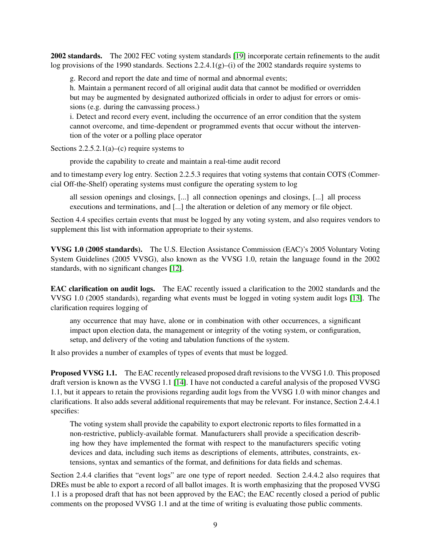2002 standards. The 2002 FEC voting system standards [\[19\]](#page-55-9) incorporate certain refinements to the audit log provisions of the 1990 standards. Sections 2.2.4.1(g)–(i) of the 2002 standards require systems to

g. Record and report the date and time of normal and abnormal events;

h. Maintain a permanent record of all original audit data that cannot be modified or overridden but may be augmented by designated authorized officials in order to adjust for errors or omissions (e.g. during the canvassing process.)

i. Detect and record every event, including the occurrence of an error condition that the system cannot overcome, and time-dependent or programmed events that occur without the intervention of the voter or a polling place operator

Sections  $2.2.5.2.1(a)$ –(c) require systems to

provide the capability to create and maintain a real-time audit record

and to timestamp every log entry. Section 2.2.5.3 requires that voting systems that contain COTS (Commercial Off-the-Shelf) operating systems must configure the operating system to log

all session openings and closings, [...] all connection openings and closings, [...] all process executions and terminations, and [...] the alteration or deletion of any memory or file object.

Section 4.4 specifies certain events that must be logged by any voting system, and also requires vendors to supplement this list with information appropriate to their systems.

VVSG 1.0 (2005 standards). The U.S. Election Assistance Commission (EAC)'s 2005 Voluntary Voting System Guidelines (2005 VVSG), also known as the VVSG 1.0, retain the language found in the 2002 standards, with no significant changes [\[12\]](#page-54-4).

EAC clarification on audit logs. The EAC recently issued a clarification to the 2002 standards and the VVSG 1.0 (2005 standards), regarding what events must be logged in voting system audit logs [\[13\]](#page-54-5). The clarification requires logging of

any occurrence that may have, alone or in combination with other occurrences, a significant impact upon election data, the management or integrity of the voting system, or configuration, setup, and delivery of the voting and tabulation functions of the system.

It also provides a number of examples of types of events that must be logged.

Proposed VVSG 1.1. The EAC recently released proposed draft revisions to the VVSG 1.0. This proposed draft version is known as the VVSG 1.1 [\[14\]](#page-55-10). I have not conducted a careful analysis of the proposed VVSG 1.1, but it appears to retain the provisions regarding audit logs from the VVSG 1.0 with minor changes and clarifications. It also adds several additional requirements that may be relevant. For instance, Section 2.4.4.1 specifies:

The voting system shall provide the capability to export electronic reports to files formatted in a non-restrictive, publicly-available format. Manufacturers shall provide a specification describing how they have implemented the format with respect to the manufacturers specific voting devices and data, including such items as descriptions of elements, attributes, constraints, extensions, syntax and semantics of the format, and definitions for data fields and schemas.

Section 2.4.4 clarifies that "event logs" are one type of report needed. Section 2.4.4.2 also requires that DREs must be able to export a record of all ballot images. It is worth emphasizing that the proposed VVSG 1.1 is a proposed draft that has not been approved by the EAC; the EAC recently closed a period of public comments on the proposed VVSG 1.1 and at the time of writing is evaluating those public comments.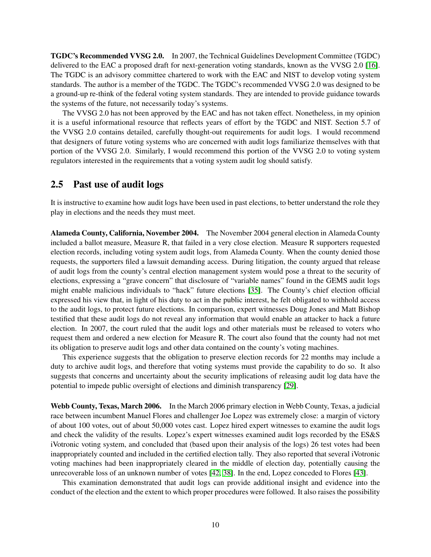TGDC's Recommended VVSG 2.0. In 2007, the Technical Guidelines Development Committee (TGDC) delivered to the EAC a proposed draft for next-generation voting standards, known as the VVSG 2.0 [\[16\]](#page-55-11). The TGDC is an advisory committee chartered to work with the EAC and NIST to develop voting system standards. The author is a member of the TGDC. The TGDC's recommended VVSG 2.0 was designed to be a ground-up re-think of the federal voting system standards. They are intended to provide guidance towards the systems of the future, not necessarily today's systems.

The VVSG 2.0 has not been approved by the EAC and has not taken effect. Nonetheless, in my opinion it is a useful informational resource that reflects years of effort by the TGDC and NIST. Section 5.7 of the VVSG 2.0 contains detailed, carefully thought-out requirements for audit logs. I would recommend that designers of future voting systems who are concerned with audit logs familiarize themselves with that portion of the VVSG 2.0. Similarly, I would recommend this portion of the VVSG 2.0 to voting system regulators interested in the requirements that a voting system audit log should satisfy.

### <span id="page-10-0"></span>2.5 Past use of audit logs

It is instructive to examine how audit logs have been used in past elections, to better understand the role they play in elections and the needs they must meet.

Alameda County, California, November 2004. The November 2004 general election in Alameda County included a ballot measure, Measure R, that failed in a very close election. Measure R supporters requested election records, including voting system audit logs, from Alameda County. When the county denied those requests, the supporters filed a lawsuit demanding access. During litigation, the county argued that release of audit logs from the county's central election management system would pose a threat to the security of elections, expressing a "grave concern" that disclosure of "variable names" found in the GEMS audit logs might enable malicious individuals to "hack" future elections [\[35\]](#page-56-6). The County's chief election official expressed his view that, in light of his duty to act in the public interest, he felt obligated to withhold access to the audit logs, to protect future elections. In comparison, expert witnesses Doug Jones and Matt Bishop testified that these audit logs do not reveal any information that would enable an attacker to hack a future election. In 2007, the court ruled that the audit logs and other materials must be released to voters who request them and ordered a new election for Measure R. The court also found that the county had not met its obligation to preserve audit logs and other data contained on the county's voting machines.

This experience suggests that the obligation to preserve election records for 22 months may include a duty to archive audit logs, and therefore that voting systems must provide the capability to do so. It also suggests that concerns and uncertainty about the security implications of releasing audit log data have the potential to impede public oversight of elections and diminish transparency [\[29\]](#page-55-3).

Webb County, Texas, March 2006. In the March 2006 primary election in Webb County, Texas, a judicial race between incumbent Manuel Flores and challenger Joe Lopez was extremely close: a margin of victory of about 100 votes, out of about 50,000 votes cast. Lopez hired expert witnesses to examine the audit logs and check the validity of the results. Lopez's expert witnesses examined audit logs recorded by the ES&S iVotronic voting system, and concluded that (based upon their analysis of the logs) 26 test votes had been inappropriately counted and included in the certified election tally. They also reported that several iVotronic voting machines had been inappropriately cleared in the middle of election day, potentially causing the unrecoverable loss of an unknown number of votes [\[42,](#page-56-5) [38\]](#page-56-3). In the end, Lopez conceded to Flores [\[43\]](#page-56-7).

This examination demonstrated that audit logs can provide additional insight and evidence into the conduct of the election and the extent to which proper procedures were followed. It also raises the possibility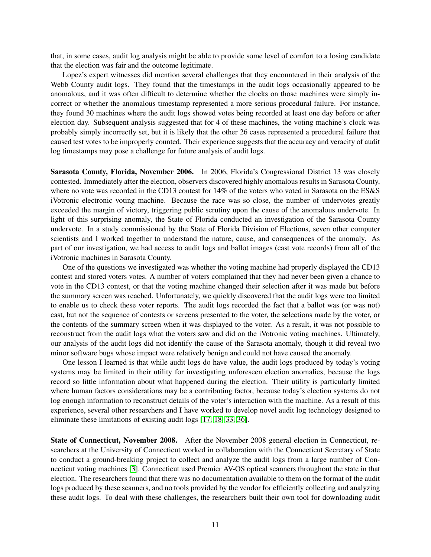that, in some cases, audit log analysis might be able to provide some level of comfort to a losing candidate that the election was fair and the outcome legitimate.

Lopez's expert witnesses did mention several challenges that they encountered in their analysis of the Webb County audit logs. They found that the timestamps in the audit logs occasionally appeared to be anomalous, and it was often difficult to determine whether the clocks on those machines were simply incorrect or whether the anomalous timestamp represented a more serious procedural failure. For instance, they found 30 machines where the audit logs showed votes being recorded at least one day before or after election day. Subsequent analysis suggested that for 4 of these machines, the voting machine's clock was probably simply incorrectly set, but it is likely that the other 26 cases represented a procedural failure that caused test votes to be improperly counted. Their experience suggests that the accuracy and veracity of audit log timestamps may pose a challenge for future analysis of audit logs.

Sarasota County, Florida, November 2006. In 2006, Florida's Congressional District 13 was closely contested. Immediately after the election, observers discovered highly anomalous results in Sarasota County, where no vote was recorded in the CD13 contest for 14% of the voters who voted in Sarasota on the ES&S iVotronic electronic voting machine. Because the race was so close, the number of undervotes greatly exceeded the margin of victory, triggering public scrutiny upon the cause of the anomalous undervote. In light of this surprising anomaly, the State of Florida conducted an investigation of the Sarasota County undervote. In a study commissioned by the State of Florida Division of Elections, seven other computer scientists and I worked together to understand the nature, cause, and consequences of the anomaly. As part of our investigation, we had access to audit logs and ballot images (cast vote records) from all of the iVotronic machines in Sarasota County.

One of the questions we investigated was whether the voting machine had properly displayed the CD13 contest and stored voters votes. A number of voters complained that they had never been given a chance to vote in the CD13 contest, or that the voting machine changed their selection after it was made but before the summary screen was reached. Unfortunately, we quickly discovered that the audit logs were too limited to enable us to check these voter reports. The audit logs recorded the fact that a ballot was (or was not) cast, but not the sequence of contests or screens presented to the voter, the selections made by the voter, or the contents of the summary screen when it was displayed to the voter. As a result, it was not possible to reconstruct from the audit logs what the voters saw and did on the iVotronic voting machines. Ultimately, our analysis of the audit logs did not identify the cause of the Sarasota anomaly, though it did reveal two minor software bugs whose impact were relatively benign and could not have caused the anomaly.

One lesson I learned is that while audit logs do have value, the audit logs produced by today's voting systems may be limited in their utility for investigating unforeseen election anomalies, because the logs record so little information about what happened during the election. Their utility is particularly limited where human factors considerations may be a contributing factor, because today's election systems do not log enough information to reconstruct details of the voter's interaction with the machine. As a result of this experience, several other researchers and I have worked to develop novel audit log technology designed to eliminate these limitations of existing audit logs [\[17,](#page-55-0) [18,](#page-55-6) [33,](#page-56-0) [36\]](#page-56-2).

State of Connecticut, November 2008. After the November 2008 general election in Connecticut, researchers at the University of Connecticut worked in collaboration with the Connecticut Secretary of State to conduct a ground-breaking project to collect and analyze the audit logs from a large number of Connecticut voting machines [\[3\]](#page-54-0). Connecticut used Premier AV-OS optical scanners throughout the state in that election. The researchers found that there was no documentation available to them on the format of the audit logs produced by these scanners, and no tools provided by the vendor for efficiently collecting and analyzing these audit logs. To deal with these challenges, the researchers built their own tool for downloading audit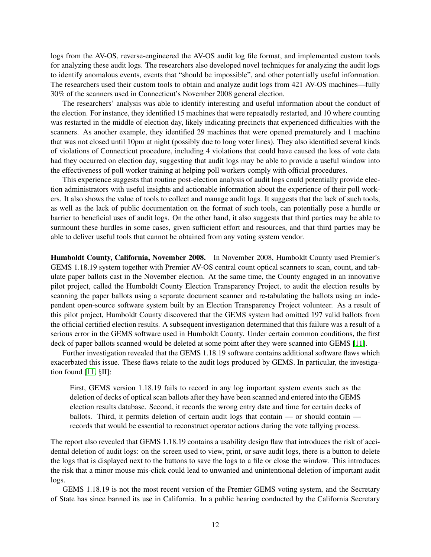logs from the AV-OS, reverse-engineered the AV-OS audit log file format, and implemented custom tools for analyzing these audit logs. The researchers also developed novel techniques for analyzing the audit logs to identify anomalous events, events that "should be impossible", and other potentially useful information. The researchers used their custom tools to obtain and analyze audit logs from 421 AV-OS machines—fully 30% of the scanners used in Connecticut's November 2008 general election.

The researchers' analysis was able to identify interesting and useful information about the conduct of the election. For instance, they identified 15 machines that were repeatedly restarted, and 10 where counting was restarted in the middle of election day, likely indicating precincts that experienced difficulties with the scanners. As another example, they identified 29 machines that were opened prematurely and 1 machine that was not closed until 10pm at night (possibly due to long voter lines). They also identified several kinds of violations of Connecticut procedure, including 4 violations that could have caused the loss of vote data had they occurred on election day, suggesting that audit logs may be able to provide a useful window into the effectiveness of poll worker training at helping poll workers comply with official procedures.

This experience suggests that routine post-election analysis of audit logs could potentially provide election administrators with useful insights and actionable information about the experience of their poll workers. It also shows the value of tools to collect and manage audit logs. It suggests that the lack of such tools, as well as the lack of public documentation on the format of such tools, can potentially pose a hurdle or barrier to beneficial uses of audit logs. On the other hand, it also suggests that third parties may be able to surmount these hurdles in some cases, given sufficient effort and resources, and that third parties may be able to deliver useful tools that cannot be obtained from any voting system vendor.

Humboldt County, California, November 2008. In November 2008, Humboldt County used Premier's GEMS 1.18.19 system together with Premier AV-OS central count optical scanners to scan, count, and tabulate paper ballots cast in the November election. At the same time, the County engaged in an innovative pilot project, called the Humboldt County Election Transparency Project, to audit the election results by scanning the paper ballots using a separate document scanner and re-tabulating the ballots using an independent open-source software system built by an Election Transparency Project volunteer. As a result of this pilot project, Humboldt County discovered that the GEMS system had omitted 197 valid ballots from the official certified election results. A subsequent investigation determined that this failure was a result of a serious error in the GEMS software used in Humboldt County. Under certain common conditions, the first deck of paper ballots scanned would be deleted at some point after they were scanned into GEMS [\[11\]](#page-54-6).

Further investigation revealed that the GEMS 1.18.19 software contains additional software flaws which exacerbated this issue. These flaws relate to the audit logs produced by GEMS. In particular, the investigation found [\[11,](#page-54-6) §II]:

First, GEMS version 1.18.19 fails to record in any log important system events such as the deletion of decks of optical scan ballots after they have been scanned and entered into the GEMS election results database. Second, it records the wrong entry date and time for certain decks of ballots. Third, it permits deletion of certain audit logs that contain — or should contain records that would be essential to reconstruct operator actions during the vote tallying process.

The report also revealed that GEMS 1.18.19 contains a usability design flaw that introduces the risk of accidental deletion of audit logs: on the screen used to view, print, or save audit logs, there is a button to delete the logs that is displayed next to the buttons to save the logs to a file or close the window. This introduces the risk that a minor mouse mis-click could lead to unwanted and unintentional deletion of important audit logs.

GEMS 1.18.19 is not the most recent version of the Premier GEMS voting system, and the Secretary of State has since banned its use in California. In a public hearing conducted by the California Secretary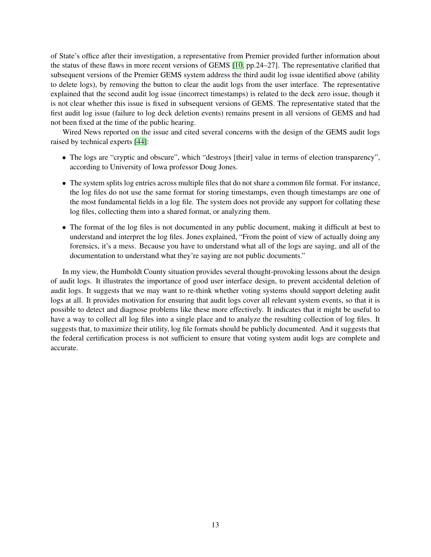of State's office after their investigation, a representative from Premier provided further information about the status of these flaws in more recent versions of GEMS [\[10,](#page-54-7) pp.24–27]. The representative clarified that subsequent versions of the Premier GEMS system address the third audit log issue identified above (ability to delete logs), by removing the button to clear the audit logs from the user interface. The representative explained that the second audit log issue (incorrect timestamps) is related to the deck zero issue, though it is not clear whether this issue is fixed in subsequent versions of GEMS. The representative stated that the first audit log issue (failure to log deck deletion events) remains present in all versions of GEMS and had not been fixed at the time of the public hearing.

Wired News reported on the issue and cited several concerns with the design of the GEMS audit logs raised by technical experts [\[44\]](#page-56-8):

- The logs are "cryptic and obscure", which "destroys [their] value in terms of election transparency", according to University of Iowa professor Doug Jones.
- The system splits log entries across multiple files that do not share a common file format. For instance, the log files do not use the same format for storing timestamps, even though timestamps are one of the most fundamental fields in a log file. The system does not provide any support for collating these log files, collecting them into a shared format, or analyzing them.
- The format of the log files is not documented in any public document, making it difficult at best to understand and interpret the log files. Jones explained, "From the point of view of actually doing any forensics, it's a mess. Because you have to understand what all of the logs are saying, and all of the documentation to understand what they're saying are not public documents."

In my view, the Humboldt County situation provides several thought-provoking lessons about the design of audit logs. It illustrates the importance of good user interface design, to prevent accidental deletion of audit logs. It suggests that we may want to re-think whether voting systems should support deleting audit logs at all. It provides motivation for ensuring that audit logs cover all relevant system events, so that it is possible to detect and diagnose problems like these more effectively. It indicates that it might be useful to have a way to collect all log files into a single place and to analyze the resulting collection of log files. It suggests that, to maximize their utility, log file formats should be publicly documented. And it suggests that the federal certification process is not sufficient to ensure that voting system audit logs are complete and accurate.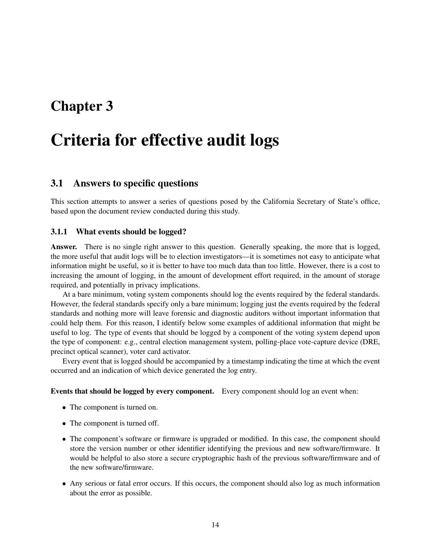# <span id="page-14-0"></span>Chapter 3

# Criteria for effective audit logs

# <span id="page-14-1"></span>3.1 Answers to specific questions

This section attempts to answer a series of questions posed by the California Secretary of State's office, based upon the document review conducted during this study.

#### <span id="page-14-2"></span>3.1.1 What events should be logged?

Answer. There is no single right answer to this question. Generally speaking, the more that is logged, the more useful that audit logs will be to election investigators—it is sometimes not easy to anticipate what information might be useful, so it is better to have too much data than too little. However, there is a cost to increasing the amount of logging, in the amount of development effort required, in the amount of storage required, and potentially in privacy implications.

At a bare minimum, voting system components should log the events required by the federal standards. However, the federal standards specify only a bare minimum; logging just the events required by the federal standards and nothing more will leave forensic and diagnostic auditors without important information that could help them. For this reason, I identify below some examples of additional information that might be useful to log. The type of events that should be logged by a component of the voting system depend upon the type of component: e.g., central election management system, polling-place vote-capture device (DRE, precinct optical scanner), voter card activator.

Every event that is logged should be accompanied by a timestamp indicating the time at which the event occurred and an indication of which device generated the log entry.

#### Events that should be logged by every component. Every component should log an event when:

- The component is turned on.
- The component is turned off.
- The component's software or firmware is upgraded or modified. In this case, the component should store the version number or other identifier identifying the previous and new software/firmware. It would be helpful to also store a secure cryptographic hash of the previous software/firmware and of the new software/firmware.
- Any serious or fatal error occurs. If this occurs, the component should also log as much information about the error as possible.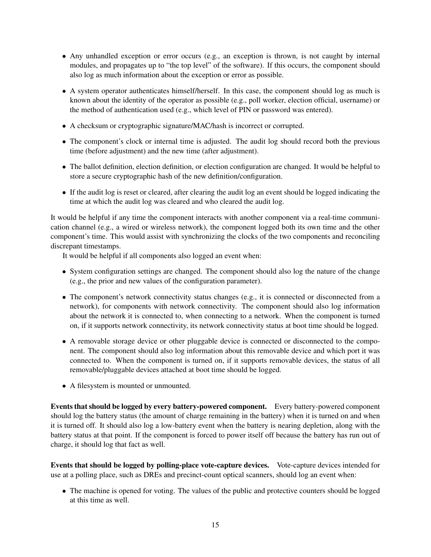- Any unhandled exception or error occurs (e.g., an exception is thrown, is not caught by internal modules, and propagates up to "the top level" of the software). If this occurs, the component should also log as much information about the exception or error as possible.
- A system operator authenticates himself/herself. In this case, the component should log as much is known about the identity of the operator as possible (e.g., poll worker, election official, username) or the method of authentication used (e.g., which level of PIN or password was entered).
- A checksum or cryptographic signature/MAC/hash is incorrect or corrupted.
- The component's clock or internal time is adjusted. The audit log should record both the previous time (before adjustment) and the new time (after adjustment).
- The ballot definition, election definition, or election configuration are changed. It would be helpful to store a secure cryptographic hash of the new definition/configuration.
- If the audit log is reset or cleared, after clearing the audit log an event should be logged indicating the time at which the audit log was cleared and who cleared the audit log.

It would be helpful if any time the component interacts with another component via a real-time communication channel (e.g., a wired or wireless network), the component logged both its own time and the other component's time. This would assist with synchronizing the clocks of the two components and reconciling discrepant timestamps.

It would be helpful if all components also logged an event when:

- System configuration settings are changed. The component should also log the nature of the change (e.g., the prior and new values of the configuration parameter).
- The component's network connectivity status changes (e.g., it is connected or disconnected from a network), for components with network connectivity. The component should also log information about the network it is connected to, when connecting to a network. When the component is turned on, if it supports network connectivity, its network connectivity status at boot time should be logged.
- A removable storage device or other pluggable device is connected or disconnected to the component. The component should also log information about this removable device and which port it was connected to. When the component is turned on, if it supports removable devices, the status of all removable/pluggable devices attached at boot time should be logged.
- A filesystem is mounted or unmounted.

Events that should be logged by every battery-powered component. Every battery-powered component should log the battery status (the amount of charge remaining in the battery) when it is turned on and when it is turned off. It should also log a low-battery event when the battery is nearing depletion, along with the battery status at that point. If the component is forced to power itself off because the battery has run out of charge, it should log that fact as well.

Events that should be logged by polling-place vote-capture devices. Vote-capture devices intended for use at a polling place, such as DREs and precinct-count optical scanners, should log an event when:

• The machine is opened for voting. The values of the public and protective counters should be logged at this time as well.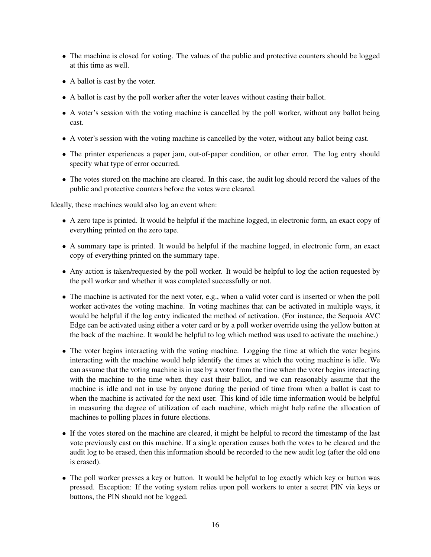- The machine is closed for voting. The values of the public and protective counters should be logged at this time as well.
- A ballot is cast by the voter.
- A ballot is cast by the poll worker after the voter leaves without casting their ballot.
- A voter's session with the voting machine is cancelled by the poll worker, without any ballot being cast.
- A voter's session with the voting machine is cancelled by the voter, without any ballot being cast.
- The printer experiences a paper jam, out-of-paper condition, or other error. The log entry should specify what type of error occurred.
- The votes stored on the machine are cleared. In this case, the audit log should record the values of the public and protective counters before the votes were cleared.

Ideally, these machines would also log an event when:

- A zero tape is printed. It would be helpful if the machine logged, in electronic form, an exact copy of everything printed on the zero tape.
- A summary tape is printed. It would be helpful if the machine logged, in electronic form, an exact copy of everything printed on the summary tape.
- Any action is taken/requested by the poll worker. It would be helpful to log the action requested by the poll worker and whether it was completed successfully or not.
- The machine is activated for the next voter, e.g., when a valid voter card is inserted or when the poll worker activates the voting machine. In voting machines that can be activated in multiple ways, it would be helpful if the log entry indicated the method of activation. (For instance, the Sequoia AVC Edge can be activated using either a voter card or by a poll worker override using the yellow button at the back of the machine. It would be helpful to log which method was used to activate the machine.)
- The voter begins interacting with the voting machine. Logging the time at which the voter begins interacting with the machine would help identify the times at which the voting machine is idle. We can assume that the voting machine is in use by a voter from the time when the voter begins interacting with the machine to the time when they cast their ballot, and we can reasonably assume that the machine is idle and not in use by anyone during the period of time from when a ballot is cast to when the machine is activated for the next user. This kind of idle time information would be helpful in measuring the degree of utilization of each machine, which might help refine the allocation of machines to polling places in future elections.
- If the votes stored on the machine are cleared, it might be helpful to record the timestamp of the last vote previously cast on this machine. If a single operation causes both the votes to be cleared and the audit log to be erased, then this information should be recorded to the new audit log (after the old one is erased).
- The poll worker presses a key or button. It would be helpful to log exactly which key or button was pressed. Exception: If the voting system relies upon poll workers to enter a secret PIN via keys or buttons, the PIN should not be logged.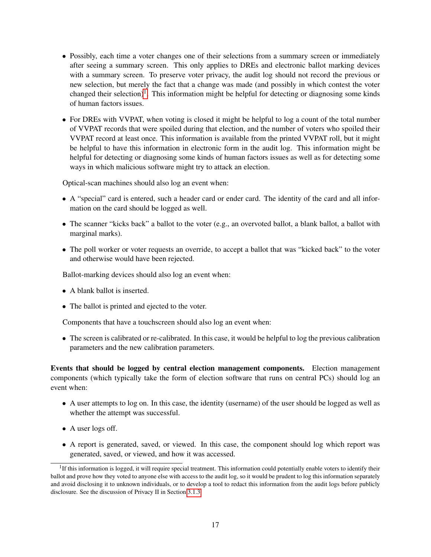- Possibly, each time a voter changes one of their selections from a summary screen or immediately after seeing a summary screen. This only applies to DREs and electronic ballot marking devices with a summary screen. To preserve voter privacy, the audit log should not record the previous or new selection, but merely the fact that a change was made (and possibly in which contest the voter changed their selection)<sup>[1](#page-17-0)</sup>. This information might be helpful for detecting or diagnosing some kinds of human factors issues.
- For DREs with VVPAT, when voting is closed it might be helpful to log a count of the total number of VVPAT records that were spoiled during that election, and the number of voters who spoiled their VVPAT record at least once. This information is available from the printed VVPAT roll, but it might be helpful to have this information in electronic form in the audit log. This information might be helpful for detecting or diagnosing some kinds of human factors issues as well as for detecting some ways in which malicious software might try to attack an election.

Optical-scan machines should also log an event when:

- A "special" card is entered, such a header card or ender card. The identity of the card and all information on the card should be logged as well.
- The scanner "kicks back" a ballot to the voter (e.g., an overvoted ballot, a blank ballot, a ballot with marginal marks).
- The poll worker or voter requests an override, to accept a ballot that was "kicked back" to the voter and otherwise would have been rejected.

Ballot-marking devices should also log an event when:

- A blank ballot is inserted.
- The ballot is printed and ejected to the voter.

Components that have a touchscreen should also log an event when:

• The screen is calibrated or re-calibrated. In this case, it would be helpful to log the previous calibration parameters and the new calibration parameters.

Events that should be logged by central election management components. Election management components (which typically take the form of election software that runs on central PCs) should log an event when:

- A user attempts to log on. In this case, the identity (username) of the user should be logged as well as whether the attempt was successful.
- A user logs off.
- A report is generated, saved, or viewed. In this case, the component should log which report was generated, saved, or viewed, and how it was accessed.

<span id="page-17-0"></span><sup>&</sup>lt;sup>1</sup>If this information is logged, it will require special treatment. This information could potentially enable voters to identify their ballot and prove how they voted to anyone else with access to the audit log, so it would be prudent to log this information separately and avoid disclosing it to unknown individuals, or to develop a tool to redact this information from the audit logs before publicly disclosure. See the discussion of Privacy II in Section [3.1.3.](#page-20-0)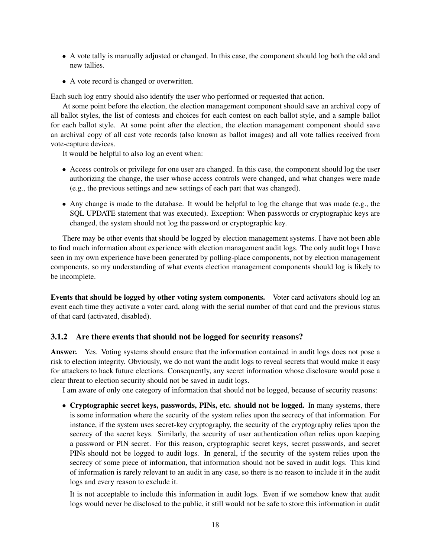- A vote tally is manually adjusted or changed. In this case, the component should log both the old and new tallies.
- A vote record is changed or overwritten.

Each such log entry should also identify the user who performed or requested that action.

At some point before the election, the election management component should save an archival copy of all ballot styles, the list of contests and choices for each contest on each ballot style, and a sample ballot for each ballot style. At some point after the election, the election management component should save an archival copy of all cast vote records (also known as ballot images) and all vote tallies received from vote-capture devices.

It would be helpful to also log an event when:

- Access controls or privilege for one user are changed. In this case, the component should log the user authorizing the change, the user whose access controls were changed, and what changes were made (e.g., the previous settings and new settings of each part that was changed).
- Any change is made to the database. It would be helpful to log the change that was made (e.g., the SQL UPDATE statement that was executed). Exception: When passwords or cryptographic keys are changed, the system should not log the password or cryptographic key.

There may be other events that should be logged by election management systems. I have not been able to find much information about experience with election management audit logs. The only audit logs I have seen in my own experience have been generated by polling-place components, not by election management components, so my understanding of what events election management components should log is likely to be incomplete.

Events that should be logged by other voting system components. Voter card activators should log an event each time they activate a voter card, along with the serial number of that card and the previous status of that card (activated, disabled).

#### <span id="page-18-0"></span>3.1.2 Are there events that should not be logged for security reasons?

Answer. Yes. Voting systems should ensure that the information contained in audit logs does not pose a risk to election integrity. Obviously, we do not want the audit logs to reveal secrets that would make it easy for attackers to hack future elections. Consequently, any secret information whose disclosure would pose a clear threat to election security should not be saved in audit logs.

I am aware of only one category of information that should not be logged, because of security reasons:

• Cryptographic secret keys, passwords, PINs, etc. should not be logged. In many systems, there is some information where the security of the system relies upon the secrecy of that information. For instance, if the system uses secret-key cryptography, the security of the cryptography relies upon the secrecy of the secret keys. Similarly, the security of user authentication often relies upon keeping a password or PIN secret. For this reason, cryptographic secret keys, secret passwords, and secret PINs should not be logged to audit logs. In general, if the security of the system relies upon the secrecy of some piece of information, that information should not be saved in audit logs. This kind of information is rarely relevant to an audit in any case, so there is no reason to include it in the audit logs and every reason to exclude it.

It is not acceptable to include this information in audit logs. Even if we somehow knew that audit logs would never be disclosed to the public, it still would not be safe to store this information in audit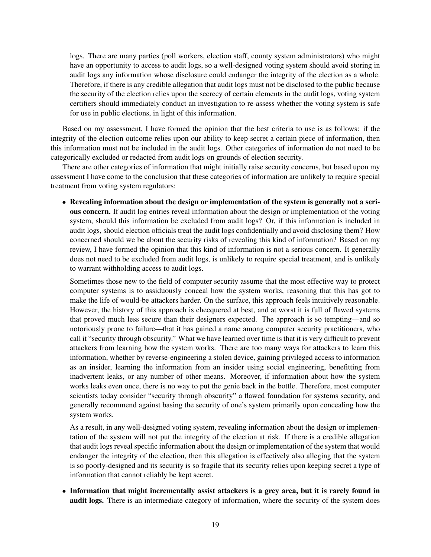logs. There are many parties (poll workers, election staff, county system administrators) who might have an opportunity to access to audit logs, so a well-designed voting system should avoid storing in audit logs any information whose disclosure could endanger the integrity of the election as a whole. Therefore, if there is any credible allegation that audit logs must not be disclosed to the public because the security of the election relies upon the secrecy of certain elements in the audit logs, voting system certifiers should immediately conduct an investigation to re-assess whether the voting system is safe for use in public elections, in light of this information.

Based on my assessment, I have formed the opinion that the best criteria to use is as follows: if the integrity of the election outcome relies upon our ability to keep secret a certain piece of information, then this information must not be included in the audit logs. Other categories of information do not need to be categorically excluded or redacted from audit logs on grounds of election security.

There are other categories of information that might initially raise security concerns, but based upon my assessment I have come to the conclusion that these categories of information are unlikely to require special treatment from voting system regulators:

• Revealing information about the design or implementation of the system is generally not a serious concern. If audit log entries reveal information about the design or implementation of the voting system, should this information be excluded from audit logs? Or, if this information is included in audit logs, should election officials treat the audit logs confidentially and avoid disclosing them? How concerned should we be about the security risks of revealing this kind of information? Based on my review, I have formed the opinion that this kind of information is not a serious concern. It generally does not need to be excluded from audit logs, is unlikely to require special treatment, and is unlikely to warrant withholding access to audit logs.

Sometimes those new to the field of computer security assume that the most effective way to protect computer systems is to assiduously conceal how the system works, reasoning that this has got to make the life of would-be attackers harder. On the surface, this approach feels intuitively reasonable. However, the history of this approach is checquered at best, and at worst it is full of flawed systems that proved much less secure than their designers expected. The approach is so tempting—and so notoriously prone to failure—that it has gained a name among computer security practitioners, who call it "security through obscurity." What we have learned over time is that it is very difficult to prevent attackers from learning how the system works. There are too many ways for attackers to learn this information, whether by reverse-engineering a stolen device, gaining privileged access to information as an insider, learning the information from an insider using social engineering, benefitting from inadvertent leaks, or any number of other means. Moreover, if information about how the system works leaks even once, there is no way to put the genie back in the bottle. Therefore, most computer scientists today consider "security through obscurity" a flawed foundation for systems security, and generally recommend against basing the security of one's system primarily upon concealing how the system works.

As a result, in any well-designed voting system, revealing information about the design or implementation of the system will not put the integrity of the election at risk. If there is a credible allegation that audit logs reveal specific information about the design or implementation of the system that would endanger the integrity of the election, then this allegation is effectively also alleging that the system is so poorly-designed and its security is so fragile that its security relies upon keeping secret a type of information that cannot reliably be kept secret.

• Information that might incrementally assist attackers is a grey area, but it is rarely found in audit logs. There is an intermediate category of information, where the security of the system does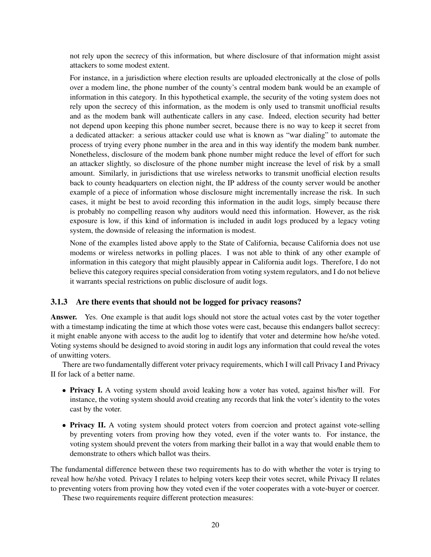not rely upon the secrecy of this information, but where disclosure of that information might assist attackers to some modest extent.

For instance, in a jurisdiction where election results are uploaded electronically at the close of polls over a modem line, the phone number of the county's central modem bank would be an example of information in this category. In this hypothetical example, the security of the voting system does not rely upon the secrecy of this information, as the modem is only used to transmit unofficial results and as the modem bank will authenticate callers in any case. Indeed, election security had better not depend upon keeping this phone number secret, because there is no way to keep it secret from a dedicated attacker: a serious attacker could use what is known as "war dialing" to automate the process of trying every phone number in the area and in this way identify the modem bank number. Nonetheless, disclosure of the modem bank phone number might reduce the level of effort for such an attacker slightly, so disclosure of the phone number might increase the level of risk by a small amount. Similarly, in jurisdictions that use wireless networks to transmit unofficial election results back to county headquarters on election night, the IP address of the county server would be another example of a piece of information whose disclosure might incrementally increase the risk. In such cases, it might be best to avoid recording this information in the audit logs, simply because there is probably no compelling reason why auditors would need this information. However, as the risk exposure is low, if this kind of information is included in audit logs produced by a legacy voting system, the downside of releasing the information is modest.

None of the examples listed above apply to the State of California, because California does not use modems or wireless networks in polling places. I was not able to think of any other example of information in this category that might plausibly appear in California audit logs. Therefore, I do not believe this category requires special consideration from voting system regulators, and I do not believe it warrants special restrictions on public disclosure of audit logs.

#### <span id="page-20-0"></span>3.1.3 Are there events that should not be logged for privacy reasons?

Answer. Yes. One example is that audit logs should not store the actual votes cast by the voter together with a timestamp indicating the time at which those votes were cast, because this endangers ballot secrecy: it might enable anyone with access to the audit log to identify that voter and determine how he/she voted. Voting systems should be designed to avoid storing in audit logs any information that could reveal the votes of unwitting voters.

There are two fundamentally different voter privacy requirements, which I will call Privacy I and Privacy II for lack of a better name.

- Privacy I. A voting system should avoid leaking how a voter has voted, against his/her will. For instance, the voting system should avoid creating any records that link the voter's identity to the votes cast by the voter.
- Privacy II. A voting system should protect voters from coercion and protect against vote-selling by preventing voters from proving how they voted, even if the voter wants to. For instance, the voting system should prevent the voters from marking their ballot in a way that would enable them to demonstrate to others which ballot was theirs.

The fundamental difference between these two requirements has to do with whether the voter is trying to reveal how he/she voted. Privacy I relates to helping voters keep their votes secret, while Privacy II relates to preventing voters from proving how they voted even if the voter cooperates with a vote-buyer or coercer.

These two requirements require different protection measures: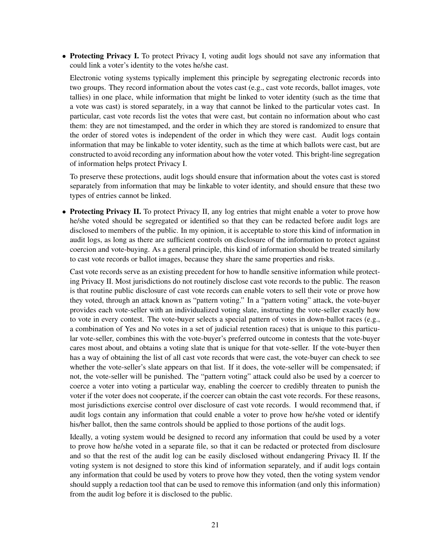• Protecting Privacy I. To protect Privacy I, voting audit logs should not save any information that could link a voter's identity to the votes he/she cast.

Electronic voting systems typically implement this principle by segregating electronic records into two groups. They record information about the votes cast (e.g., cast vote records, ballot images, vote tallies) in one place, while information that might be linked to voter identity (such as the time that a vote was cast) is stored separately, in a way that cannot be linked to the particular votes cast. In particular, cast vote records list the votes that were cast, but contain no information about who cast them: they are not timestamped, and the order in which they are stored is randomized to ensure that the order of stored votes is independent of the order in which they were cast. Audit logs contain information that may be linkable to voter identity, such as the time at which ballots were cast, but are constructed to avoid recording any information about how the voter voted. This bright-line segregation of information helps protect Privacy I.

To preserve these protections, audit logs should ensure that information about the votes cast is stored separately from information that may be linkable to voter identity, and should ensure that these two types of entries cannot be linked.

• Protecting Privacy II. To protect Privacy II, any log entries that might enable a voter to prove how he/she voted should be segregated or identified so that they can be redacted before audit logs are disclosed to members of the public. In my opinion, it is acceptable to store this kind of information in audit logs, as long as there are sufficient controls on disclosure of the information to protect against coercion and vote-buying. As a general principle, this kind of information should be treated similarly to cast vote records or ballot images, because they share the same properties and risks.

Cast vote records serve as an existing precedent for how to handle sensitive information while protecting Privacy II. Most jurisdictions do not routinely disclose cast vote records to the public. The reason is that routine public disclosure of cast vote records can enable voters to sell their vote or prove how they voted, through an attack known as "pattern voting." In a "pattern voting" attack, the vote-buyer provides each vote-seller with an individualized voting slate, instructing the vote-seller exactly how to vote in every contest. The vote-buyer selects a special pattern of votes in down-ballot races (e.g., a combination of Yes and No votes in a set of judicial retention races) that is unique to this particular vote-seller, combines this with the vote-buyer's preferred outcome in contests that the vote-buyer cares most about, and obtains a voting slate that is unique for that vote-seller. If the vote-buyer then has a way of obtaining the list of all cast vote records that were cast, the vote-buyer can check to see whether the vote-seller's slate appears on that list. If it does, the vote-seller will be compensated; if not, the vote-seller will be punished. The "pattern voting" attack could also be used by a coercer to coerce a voter into voting a particular way, enabling the coercer to credibly threaten to punish the voter if the voter does not cooperate, if the coercer can obtain the cast vote records. For these reasons, most jurisdictions exercise control over disclosure of cast vote records. I would recommend that, if audit logs contain any information that could enable a voter to prove how he/she voted or identify his/her ballot, then the same controls should be applied to those portions of the audit logs.

Ideally, a voting system would be designed to record any information that could be used by a voter to prove how he/she voted in a separate file, so that it can be redacted or protected from disclosure and so that the rest of the audit log can be easily disclosed without endangering Privacy II. If the voting system is not designed to store this kind of information separately, and if audit logs contain any information that could be used by voters to prove how they voted, then the voting system vendor should supply a redaction tool that can be used to remove this information (and only this information) from the audit log before it is disclosed to the public.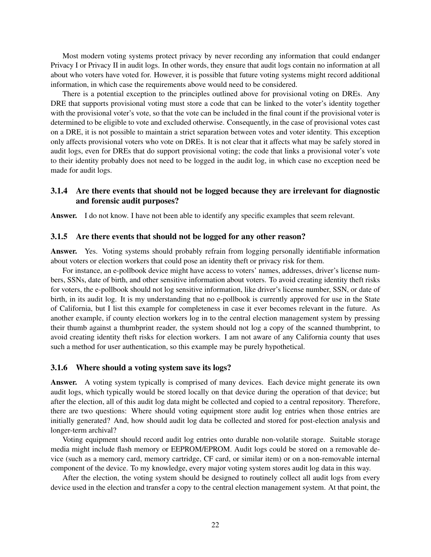Most modern voting systems protect privacy by never recording any information that could endanger Privacy I or Privacy II in audit logs. In other words, they ensure that audit logs contain no information at all about who voters have voted for. However, it is possible that future voting systems might record additional information, in which case the requirements above would need to be considered.

There is a potential exception to the principles outlined above for provisional voting on DREs. Any DRE that supports provisional voting must store a code that can be linked to the voter's identity together with the provisional voter's vote, so that the vote can be included in the final count if the provisional voter is determined to be eligible to vote and excluded otherwise. Consequently, in the case of provisional votes cast on a DRE, it is not possible to maintain a strict separation between votes and voter identity. This exception only affects provisional voters who vote on DREs. It is not clear that it affects what may be safely stored in audit logs, even for DREs that do support provisional voting; the code that links a provisional voter's vote to their identity probably does not need to be logged in the audit log, in which case no exception need be made for audit logs.

### <span id="page-22-0"></span>3.1.4 Are there events that should not be logged because they are irrelevant for diagnostic and forensic audit purposes?

Answer. I do not know. I have not been able to identify any specific examples that seem relevant.

#### <span id="page-22-1"></span>3.1.5 Are there events that should not be logged for any other reason?

Answer. Yes. Voting systems should probably refrain from logging personally identifiable information about voters or election workers that could pose an identity theft or privacy risk for them.

For instance, an e-pollbook device might have access to voters' names, addresses, driver's license numbers, SSNs, date of birth, and other sensitive information about voters. To avoid creating identity theft risks for voters, the e-pollbook should not log sensitive information, like driver's license number, SSN, or date of birth, in its audit log. It is my understanding that no e-pollbook is currently approved for use in the State of California, but I list this example for completeness in case it ever becomes relevant in the future. As another example, if county election workers log in to the central election management system by pressing their thumb against a thumbprint reader, the system should not log a copy of the scanned thumbprint, to avoid creating identity theft risks for election workers. I am not aware of any California county that uses such a method for user authentication, so this example may be purely hypothetical.

#### <span id="page-22-2"></span>3.1.6 Where should a voting system save its logs?

Answer. A voting system typically is comprised of many devices. Each device might generate its own audit logs, which typically would be stored locally on that device during the operation of that device; but after the election, all of this audit log data might be collected and copied to a central repository. Therefore, there are two questions: Where should voting equipment store audit log entries when those entries are initially generated? And, how should audit log data be collected and stored for post-election analysis and longer-term archival?

Voting equipment should record audit log entries onto durable non-volatile storage. Suitable storage media might include flash memory or EEPROM/EPROM. Audit logs could be stored on a removable device (such as a memory card, memory cartridge, CF card, or similar item) or on a non-removable internal component of the device. To my knowledge, every major voting system stores audit log data in this way.

After the election, the voting system should be designed to routinely collect all audit logs from every device used in the election and transfer a copy to the central election management system. At that point, the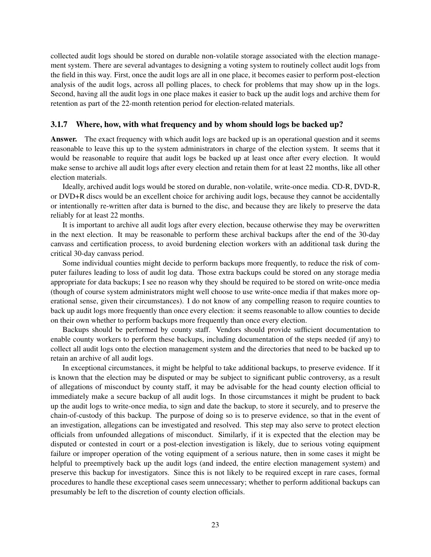collected audit logs should be stored on durable non-volatile storage associated with the election management system. There are several advantages to designing a voting system to routinely collect audit logs from the field in this way. First, once the audit logs are all in one place, it becomes easier to perform post-election analysis of the audit logs, across all polling places, to check for problems that may show up in the logs. Second, having all the audit logs in one place makes it easier to back up the audit logs and archive them for retention as part of the 22-month retention period for election-related materials.

#### <span id="page-23-0"></span>3.1.7 Where, how, with what frequency and by whom should logs be backed up?

Answer. The exact frequency with which audit logs are backed up is an operational question and it seems reasonable to leave this up to the system administrators in charge of the election system. It seems that it would be reasonable to require that audit logs be backed up at least once after every election. It would make sense to archive all audit logs after every election and retain them for at least 22 months, like all other election materials.

Ideally, archived audit logs would be stored on durable, non-volatile, write-once media. CD-R, DVD-R, or DVD+R discs would be an excellent choice for archiving audit logs, because they cannot be accidentally or intentionally re-written after data is burned to the disc, and because they are likely to preserve the data reliably for at least 22 months.

It is important to archive all audit logs after every election, because otherwise they may be overwritten in the next election. It may be reasonable to perform these archival backups after the end of the 30-day canvass and certification process, to avoid burdening election workers with an additional task during the critical 30-day canvass period.

Some individual counties might decide to perform backups more frequently, to reduce the risk of computer failures leading to loss of audit log data. Those extra backups could be stored on any storage media appropriate for data backups; I see no reason why they should be required to be stored on write-once media (though of course system administrators might well choose to use write-once media if that makes more operational sense, given their circumstances). I do not know of any compelling reason to require counties to back up audit logs more frequently than once every election: it seems reasonable to allow counties to decide on their own whether to perform backups more frequently than once every election.

Backups should be performed by county staff. Vendors should provide sufficient documentation to enable county workers to perform these backups, including documentation of the steps needed (if any) to collect all audit logs onto the election management system and the directories that need to be backed up to retain an archive of all audit logs.

In exceptional circumstances, it might be helpful to take additional backups, to preserve evidence. If it is known that the election may be disputed or may be subject to significant public controversy, as a result of allegations of misconduct by county staff, it may be advisable for the head county election official to immediately make a secure backup of all audit logs. In those circumstances it might be prudent to back up the audit logs to write-once media, to sign and date the backup, to store it securely, and to preserve the chain-of-custody of this backup. The purpose of doing so is to preserve evidence, so that in the event of an investigation, allegations can be investigated and resolved. This step may also serve to protect election officials from unfounded allegations of misconduct. Similarly, if it is expected that the election may be disputed or contested in court or a post-election investigation is likely, due to serious voting equipment failure or improper operation of the voting equipment of a serious nature, then in some cases it might be helpful to preemptively back up the audit logs (and indeed, the entire election management system) and preserve this backup for investigators. Since this is not likely to be required except in rare cases, formal procedures to handle these exceptional cases seem unnecessary; whether to perform additional backups can presumably be left to the discretion of county election officials.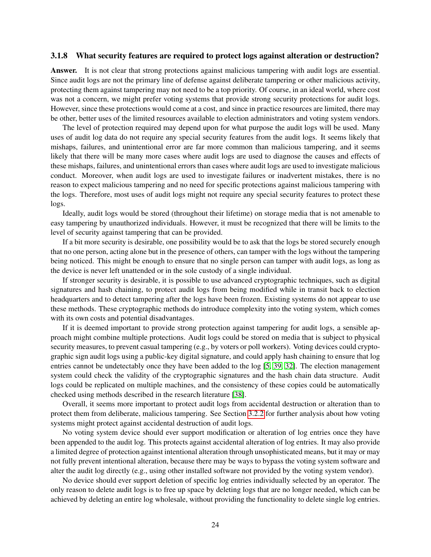#### <span id="page-24-0"></span>3.1.8 What security features are required to protect logs against alteration or destruction?

Answer. It is not clear that strong protections against malicious tampering with audit logs are essential. Since audit logs are not the primary line of defense against deliberate tampering or other malicious activity, protecting them against tampering may not need to be a top priority. Of course, in an ideal world, where cost was not a concern, we might prefer voting systems that provide strong security protections for audit logs. However, since these protections would come at a cost, and since in practice resources are limited, there may be other, better uses of the limited resources available to election administrators and voting system vendors.

The level of protection required may depend upon for what purpose the audit logs will be used. Many uses of audit log data do not require any special security features from the audit logs. It seems likely that mishaps, failures, and unintentional error are far more common than malicious tampering, and it seems likely that there will be many more cases where audit logs are used to diagnose the causes and effects of these mishaps, failures, and unintentional errors than cases where audit logs are used to investigate malicious conduct. Moreover, when audit logs are used to investigate failures or inadvertent mistakes, there is no reason to expect malicious tampering and no need for specific protections against malicious tampering with the logs. Therefore, most uses of audit logs might not require any special security features to protect these logs.

Ideally, audit logs would be stored (throughout their lifetime) on storage media that is not amenable to easy tampering by unauthorized individuals. However, it must be recognized that there will be limits to the level of security against tampering that can be provided.

If a bit more security is desirable, one possibility would be to ask that the logs be stored securely enough that no one person, acting alone but in the presence of others, can tamper with the logs without the tampering being noticed. This might be enough to ensure that no single person can tamper with audit logs, as long as the device is never left unattended or in the sole custody of a single individual.

If stronger security is desirable, it is possible to use advanced cryptographic techniques, such as digital signatures and hash chaining, to protect audit logs from being modified while in transit back to election headquarters and to detect tampering after the logs have been frozen. Existing systems do not appear to use these methods. These cryptographic methods do introduce complexity into the voting system, which comes with its own costs and potential disadvantages.

If it is deemed important to provide strong protection against tampering for audit logs, a sensible approach might combine multiple protections. Audit logs could be stored on media that is subject to physical security measures, to prevent casual tampering (e.g., by voters or poll workers). Voting devices could cryptographic sign audit logs using a public-key digital signature, and could apply hash chaining to ensure that log entries cannot be undetectably once they have been added to the log [\[5,](#page-54-1) [39,](#page-56-4) [32\]](#page-55-4). The election management system could check the validity of the cryptographic signatures and the hash chain data structure. Audit logs could be replicated on multiple machines, and the consistency of these copies could be automatically checked using methods described in the research literature [\[38\]](#page-56-3).

Overall, it seems more important to protect audit logs from accidental destruction or alteration than to protect them from deliberate, malicious tampering. See Section [3.2.2](#page-29-3) for further analysis about how voting systems might protect against accidental destruction of audit logs.

No voting system device should ever support modification or alteration of log entries once they have been appended to the audit log. This protects against accidental alteration of log entries. It may also provide a limited degree of protection against intentional alteration through unsophisticated means, but it may or may not fully prevent intentional alteration, because there may be ways to bypass the voting system software and alter the audit log directly (e.g., using other installed software not provided by the voting system vendor).

No device should ever support deletion of specific log entries individually selected by an operator. The only reason to delete audit logs is to free up space by deleting logs that are no longer needed, which can be achieved by deleting an entire log wholesale, without providing the functionality to delete single log entries.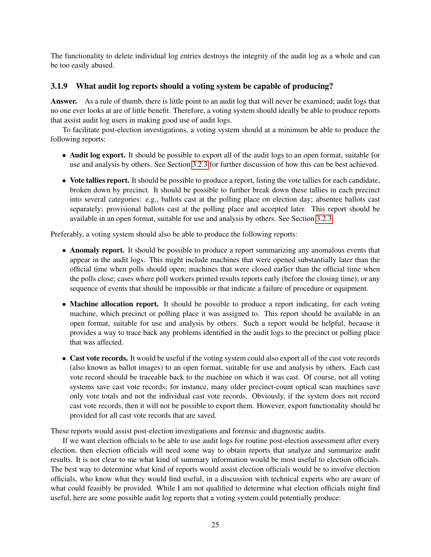The functionality to delete individual log entries destroys the integrity of the audit log as a whole and can be too easily abused.

#### <span id="page-25-0"></span>3.1.9 What audit log reports should a voting system be capable of producing?

Answer. As a rule of thumb, there is little point to an audit log that will never be examined; audit logs that no one ever looks at are of little benefit. Therefore, a voting system should ideally be able to produce reports that assist audit log users in making good use of audit logs.

To facilitate post-election investigations, a voting system should at a minimum be able to produce the following reports:

- Audit log export. It should be possible to export all of the audit logs to an open format, suitable for use and analysis by others. See Section [3.2.3](#page-30-0) for further discussion of how this can be best achieved.
- Vote tallies report. It should be possible to produce a report, listing the vote tallies for each candidate, broken down by precinct. It should be possible to further break down these tallies in each precinct into several categories: e.g., ballots cast at the polling place on election day; absentee ballots cast separately; provisional ballots cast at the polling place and accepted later. This report should be available in an open format, suitable for use and analysis by others. See Section [3.2.3.](#page-30-0)

Preferably, a voting system should also be able to produce the following reports:

- Anomaly report. It should be possible to produce a report summarizing any anomalous events that appear in the audit logs. This might include machines that were opened substantially later than the official time when polls should open; machines that were closed earlier than the official time when the polls close; cases where poll workers printed results reports early (before the closing time); or any sequence of events that should be impossible or that indicate a failure of procedure or equipment.
- Machine allocation report. It should be possible to produce a report indicating, for each voting machine, which precinct or polling place it was assigned to. This report should be available in an open format, suitable for use and analysis by others. Such a report would be helpful, because it provides a way to trace back any problems identified in the audit logs to the precinct or polling place that was affected.
- Cast vote records. It would be useful if the voting system could also export all of the cast vote records (also known as ballot images) to an open format, suitable for use and analysis by others. Each cast vote record should be traceable back to the machine on which it was cast. Of course, not all voting systems save cast vote records; for instance, many older precinct-count optical scan machines save only vote totals and not the individual cast vote records. Obviously, if the system does not record cast vote records, then it will not be possible to export them. However, export functionality should be provided for all cast vote records that are saved.

These reports would assist post-election investigations and forensic and diagnostic audits.

If we want election officials to be able to use audit logs for routine post-election assessment after every election, then election officials will need some way to obtain reports that analyze and summarize audit results. It is not clear to me what kind of summary information would be most useful to election officials. The best way to determine what kind of reports would assist election officials would be to involve election officials, who know what they would find useful, in a discussion with technical experts who are aware of what could feasibly be provided. While I am not qualified to determine what election officials might find useful, here are some possible audit log reports that a voting system could potentially produce: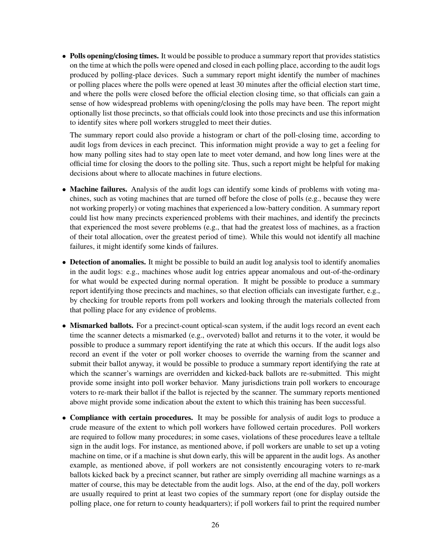• Polls opening/closing times. It would be possible to produce a summary report that provides statistics on the time at which the polls were opened and closed in each polling place, according to the audit logs produced by polling-place devices. Such a summary report might identify the number of machines or polling places where the polls were opened at least 30 minutes after the official election start time, and where the polls were closed before the official election closing time, so that officials can gain a sense of how widespread problems with opening/closing the polls may have been. The report might optionally list those precincts, so that officials could look into those precincts and use this information to identify sites where poll workers struggled to meet their duties.

The summary report could also provide a histogram or chart of the poll-closing time, according to audit logs from devices in each precinct. This information might provide a way to get a feeling for how many polling sites had to stay open late to meet voter demand, and how long lines were at the official time for closing the doors to the polling site. Thus, such a report might be helpful for making decisions about where to allocate machines in future elections.

- Machine failures. Analysis of the audit logs can identify some kinds of problems with voting machines, such as voting machines that are turned off before the close of polls (e.g., because they were not working properly) or voting machines that experienced a low-battery condition. A summary report could list how many precincts experienced problems with their machines, and identify the precincts that experienced the most severe problems (e.g., that had the greatest loss of machines, as a fraction of their total allocation, over the greatest period of time). While this would not identify all machine failures, it might identify some kinds of failures.
- Detection of anomalies. It might be possible to build an audit log analysis tool to identify anomalies in the audit logs: e.g., machines whose audit log entries appear anomalous and out-of-the-ordinary for what would be expected during normal operation. It might be possible to produce a summary report identifying those precincts and machines, so that election officials can investigate further, e.g., by checking for trouble reports from poll workers and looking through the materials collected from that polling place for any evidence of problems.
- Mismarked ballots. For a precinct-count optical-scan system, if the audit logs record an event each time the scanner detects a mismarked (e.g., overvoted) ballot and returns it to the voter, it would be possible to produce a summary report identifying the rate at which this occurs. If the audit logs also record an event if the voter or poll worker chooses to override the warning from the scanner and submit their ballot anyway, it would be possible to produce a summary report identifying the rate at which the scanner's warnings are overridden and kicked-back ballots are re-submitted. This might provide some insight into poll worker behavior. Many jurisdictions train poll workers to encourage voters to re-mark their ballot if the ballot is rejected by the scanner. The summary reports mentioned above might provide some indication about the extent to which this training has been successful.
- Compliance with certain procedures. It may be possible for analysis of audit logs to produce a crude measure of the extent to which poll workers have followed certain procedures. Poll workers are required to follow many procedures; in some cases, violations of these procedures leave a telltale sign in the audit logs. For instance, as mentioned above, if poll workers are unable to set up a voting machine on time, or if a machine is shut down early, this will be apparent in the audit logs. As another example, as mentioned above, if poll workers are not consistently encouraging voters to re-mark ballots kicked back by a precinct scanner, but rather are simply overriding all machine warnings as a matter of course, this may be detectable from the audit logs. Also, at the end of the day, poll workers are usually required to print at least two copies of the summary report (one for display outside the polling place, one for return to county headquarters); if poll workers fail to print the required number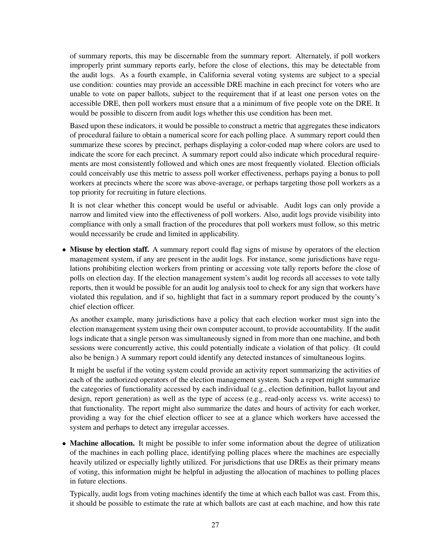of summary reports, this may be discernable from the summary report. Alternately, if poll workers improperly print summary reports early, before the close of elections, this may be detectable from the audit logs. As a fourth example, in California several voting systems are subject to a special use condition: counties may provide an accessible DRE machine in each precinct for voters who are unable to vote on paper ballots, subject to the requirement that if at least one person votes on the accessible DRE, then poll workers must ensure that a a minimum of five people vote on the DRE. It would be possible to discern from audit logs whether this use condition has been met.

Based upon these indicators, it would be possible to construct a metric that aggregates these indicators of procedural failure to obtain a numerical score for each polling place. A summary report could then summarize these scores by precinct, perhaps displaying a color-coded map where colors are used to indicate the score for each precinct. A summary report could also indicate which procedural requirements are most consistently followed and which ones are most frequently violated. Election officials could conceivably use this metric to assess poll worker effectiveness, perhaps paying a bonus to poll workers at precincts where the score was above-average, or perhaps targeting those poll workers as a top priority for recruiting in future elections.

It is not clear whether this concept would be useful or advisable. Audit logs can only provide a narrow and limited view into the effectiveness of poll workers. Also, audit logs provide visibility into compliance with only a small fraction of the procedures that poll workers must follow, so this metric would necessarily be crude and limited in applicability.

• Misuse by election staff. A summary report could flag signs of misuse by operators of the election management system, if any are present in the audit logs. For instance, some jurisdictions have regulations prohibiting election workers from printing or accessing vote tally reports before the close of polls on election day. If the election management system's audit log records all accesses to vote tally reports, then it would be possible for an audit log analysis tool to check for any sign that workers have violated this regulation, and if so, highlight that fact in a summary report produced by the county's chief election officer.

As another example, many jurisdictions have a policy that each election worker must sign into the election management system using their own computer account, to provide accountability. If the audit logs indicate that a single person was simultaneously signed in from more than one machine, and both sessions were concurrently active, this could potentially indicate a violation of that policy. (It could also be benign.) A summary report could identify any detected instances of simultaneous logins.

It might be useful if the voting system could provide an activity report summarizing the activities of each of the authorized operators of the election management system. Such a report might summarize the categories of functionality accessed by each individual (e.g., election definition, ballot layout and design, report generation) as well as the type of access (e.g., read-only access vs. write access) to that functionality. The report might also summarize the dates and hours of activity for each worker, providing a way for the chief election officer to see at a glance which workers have accessed the system and perhaps to detect any irregular accesses.

• Machine allocation. It might be possible to infer some information about the degree of utilization of the machines in each polling place, identifying polling places where the machines are especially heavily utilized or especially lightly utilized. For jurisdictions that use DREs as their primary means of voting, this information might be helpful in adjusting the allocation of machines to polling places in future elections.

Typically, audit logs from voting machines identify the time at which each ballot was cast. From this, it should be possible to estimate the rate at which ballots are cast at each machine, and how this rate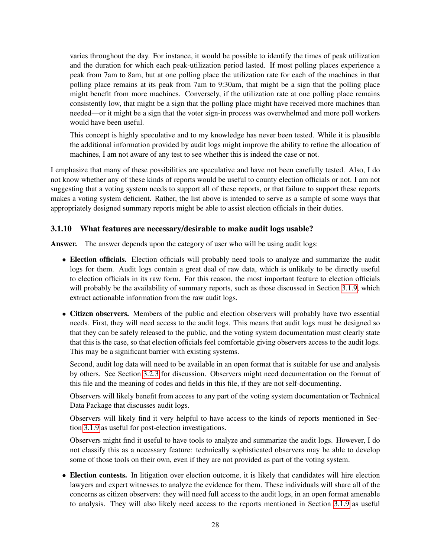varies throughout the day. For instance, it would be possible to identify the times of peak utilization and the duration for which each peak-utilization period lasted. If most polling places experience a peak from 7am to 8am, but at one polling place the utilization rate for each of the machines in that polling place remains at its peak from 7am to 9:30am, that might be a sign that the polling place might benefit from more machines. Conversely, if the utilization rate at one polling place remains consistently low, that might be a sign that the polling place might have received more machines than needed—or it might be a sign that the voter sign-in process was overwhelmed and more poll workers would have been useful.

This concept is highly speculative and to my knowledge has never been tested. While it is plausible the additional information provided by audit logs might improve the ability to refine the allocation of machines, I am not aware of any test to see whether this is indeed the case or not.

I emphasize that many of these possibilities are speculative and have not been carefully tested. Also, I do not know whether any of these kinds of reports would be useful to county election officials or not. I am not suggesting that a voting system needs to support all of these reports, or that failure to support these reports makes a voting system deficient. Rather, the list above is intended to serve as a sample of some ways that appropriately designed summary reports might be able to assist election officials in their duties.

#### <span id="page-28-0"></span>3.1.10 What features are necessary/desirable to make audit logs usable?

Answer. The answer depends upon the category of user who will be using audit logs:

- Election officials. Election officials will probably need tools to analyze and summarize the audit logs for them. Audit logs contain a great deal of raw data, which is unlikely to be directly useful to election officials in its raw form. For this reason, the most important feature to election officials will probably be the availability of summary reports, such as those discussed in Section [3.1.9,](#page-25-0) which extract actionable information from the raw audit logs.
- Citizen observers. Members of the public and election observers will probably have two essential needs. First, they will need access to the audit logs. This means that audit logs must be designed so that they can be safely released to the public, and the voting system documentation must clearly state that this is the case, so that election officials feel comfortable giving observers access to the audit logs. This may be a significant barrier with existing systems.

Second, audit log data will need to be available in an open format that is suitable for use and analysis by others. See Section [3.2.3](#page-30-0) for discussion. Observers might need documentation on the format of this file and the meaning of codes and fields in this file, if they are not self-documenting.

Observers will likely benefit from access to any part of the voting system documentation or Technical Data Package that discusses audit logs.

Observers will likely find it very helpful to have access to the kinds of reports mentioned in Section [3.1.9](#page-25-0) as useful for post-election investigations.

Observers might find it useful to have tools to analyze and summarize the audit logs. However, I do not classify this as a necessary feature: technically sophisticated observers may be able to develop some of those tools on their own, even if they are not provided as part of the voting system.

• Election contests. In litigation over election outcome, it is likely that candidates will hire election lawyers and expert witnesses to analyze the evidence for them. These individuals will share all of the concerns as citizen observers: they will need full access to the audit logs, in an open format amenable to analysis. They will also likely need access to the reports mentioned in Section [3.1.9](#page-25-0) as useful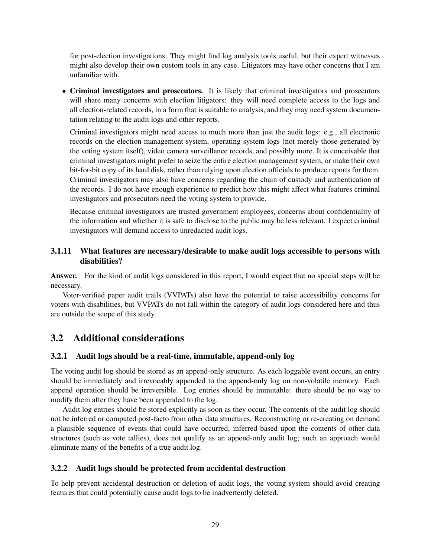for post-election investigations. They might find log analysis tools useful, but their expert witnesses might also develop their own custom tools in any case. Litigators may have other concerns that I am unfamiliar with.

• Criminal investigators and prosecutors. It is likely that criminal investigators and prosecutors will share many concerns with election litigators: they will need complete access to the logs and all election-related records, in a form that is suitable to analysis, and they may need system documentation relating to the audit logs and other reports.

Criminal investigators might need access to much more than just the audit logs: e.g., all electronic records on the election management system, operating system logs (not merely those generated by the voting system itself), video camera surveillance records, and possibly more. It is conceivable that criminal investigators might prefer to seize the entire election management system, or make their own bit-for-bit copy of its hard disk, rather than relying upon election officials to produce reports for them. Criminal investigators may also have concerns regarding the chain of custody and authentication of the records. I do not have enough experience to predict how this might affect what features criminal investigators and prosecutors need the voting system to provide.

Because criminal investigators are trusted government employees, concerns about confidentiality of the information and whether it is safe to disclose to the public may be less relevant. I expect criminal investigators will demand access to unredacted audit logs.

#### <span id="page-29-0"></span>3.1.11 What features are necessary/desirable to make audit logs accessible to persons with disabilities?

Answer. For the kind of audit logs considered in this report, I would expect that no special steps will be necessary.

Voter-verified paper audit trails (VVPATs) also have the potential to raise accessibility concerns for voters with disabilities, but VVPATs do not fall within the category of audit logs considered here and thus are outside the scope of this study.

# <span id="page-29-1"></span>3.2 Additional considerations

#### <span id="page-29-2"></span>3.2.1 Audit logs should be a real-time, immutable, append-only log

The voting audit log should be stored as an append-only structure. As each loggable event occurs, an entry should be immediately and irrevocably appended to the append-only log on non-volatile memory. Each append operation should be irreversible. Log entries should be immutable: there should be no way to modify them after they have been appended to the log.

Audit log entries should be stored explicitly as soon as they occur. The contents of the audit log should not be inferred or computed post-facto from other data structures. Reconstructing or re-creating on demand a plausible sequence of events that could have occurred, inferred based upon the contents of other data structures (such as vote tallies), does not qualify as an append-only audit log; such an approach would eliminate many of the benefits of a true audit log.

#### <span id="page-29-3"></span>3.2.2 Audit logs should be protected from accidental destruction

To help prevent accidental destruction or deletion of audit logs, the voting system should avoid creating features that could potentially cause audit logs to be inadvertently deleted.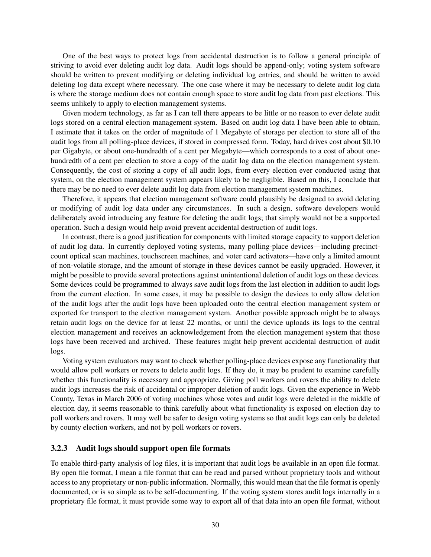One of the best ways to protect logs from accidental destruction is to follow a general principle of striving to avoid ever deleting audit log data. Audit logs should be append-only; voting system software should be written to prevent modifying or deleting individual log entries, and should be written to avoid deleting log data except where necessary. The one case where it may be necessary to delete audit log data is where the storage medium does not contain enough space to store audit log data from past elections. This seems unlikely to apply to election management systems.

Given modern technology, as far as I can tell there appears to be little or no reason to ever delete audit logs stored on a central election management system. Based on audit log data I have been able to obtain, I estimate that it takes on the order of magnitude of 1 Megabyte of storage per election to store all of the audit logs from all polling-place devices, if stored in compressed form. Today, hard drives cost about \$0.10 per Gigabyte, or about one-hundredth of a cent per Megabyte—which corresponds to a cost of about onehundredth of a cent per election to store a copy of the audit log data on the election management system. Consequently, the cost of storing a copy of all audit logs, from every election ever conducted using that system, on the election management system appears likely to be negligible. Based on this, I conclude that there may be no need to ever delete audit log data from election management system machines.

Therefore, it appears that election management software could plausibly be designed to avoid deleting or modifying of audit log data under any circumstances. In such a design, software developers would deliberately avoid introducing any feature for deleting the audit logs; that simply would not be a supported operation. Such a design would help avoid prevent accidental destruction of audit logs.

In contrast, there is a good justification for components with limited storage capacity to support deletion of audit log data. In currently deployed voting systems, many polling-place devices—including precinctcount optical scan machines, touchscreen machines, and voter card activators—have only a limited amount of non-volatile storage, and the amount of storage in these devices cannot be easily upgraded. However, it might be possible to provide several protections against unintentional deletion of audit logs on these devices. Some devices could be programmed to always save audit logs from the last election in addition to audit logs from the current election. In some cases, it may be possible to design the devices to only allow deletion of the audit logs after the audit logs have been uploaded onto the central election management system or exported for transport to the election management system. Another possible approach might be to always retain audit logs on the device for at least 22 months, or until the device uploads its logs to the central election management and receives an acknowledgement from the election management system that those logs have been received and archived. These features might help prevent accidental destruction of audit logs.

Voting system evaluators may want to check whether polling-place devices expose any functionality that would allow poll workers or rovers to delete audit logs. If they do, it may be prudent to examine carefully whether this functionality is necessary and appropriate. Giving poll workers and rovers the ability to delete audit logs increases the risk of accidental or improper deletion of audit logs. Given the experience in Webb County, Texas in March 2006 of voting machines whose votes and audit logs were deleted in the middle of election day, it seems reasonable to think carefully about what functionality is exposed on election day to poll workers and rovers. It may well be safer to design voting systems so that audit logs can only be deleted by county election workers, and not by poll workers or rovers.

#### <span id="page-30-0"></span>3.2.3 Audit logs should support open file formats

To enable third-party analysis of log files, it is important that audit logs be available in an open file format. By open file format, I mean a file format that can be read and parsed without proprietary tools and without access to any proprietary or non-public information. Normally, this would mean that the file format is openly documented, or is so simple as to be self-documenting. If the voting system stores audit logs internally in a proprietary file format, it must provide some way to export all of that data into an open file format, without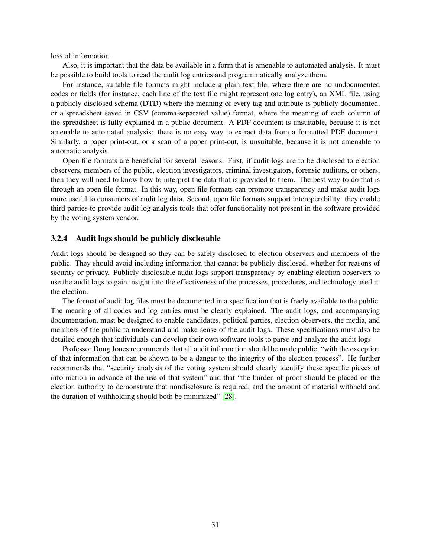loss of information.

Also, it is important that the data be available in a form that is amenable to automated analysis. It must be possible to build tools to read the audit log entries and programmatically analyze them.

For instance, suitable file formats might include a plain text file, where there are no undocumented codes or fields (for instance, each line of the text file might represent one log entry), an XML file, using a publicly disclosed schema (DTD) where the meaning of every tag and attribute is publicly documented, or a spreadsheet saved in CSV (comma-separated value) format, where the meaning of each column of the spreadsheet is fully explained in a public document. A PDF document is unsuitable, because it is not amenable to automated analysis: there is no easy way to extract data from a formatted PDF document. Similarly, a paper print-out, or a scan of a paper print-out, is unsuitable, because it is not amenable to automatic analysis.

Open file formats are beneficial for several reasons. First, if audit logs are to be disclosed to election observers, members of the public, election investigators, criminal investigators, forensic auditors, or others, then they will need to know how to interpret the data that is provided to them. The best way to do that is through an open file format. In this way, open file formats can promote transparency and make audit logs more useful to consumers of audit log data. Second, open file formats support interoperability: they enable third parties to provide audit log analysis tools that offer functionality not present in the software provided by the voting system vendor.

#### <span id="page-31-0"></span>3.2.4 Audit logs should be publicly disclosable

Audit logs should be designed so they can be safely disclosed to election observers and members of the public. They should avoid including information that cannot be publicly disclosed, whether for reasons of security or privacy. Publicly disclosable audit logs support transparency by enabling election observers to use the audit logs to gain insight into the effectiveness of the processes, procedures, and technology used in the election.

The format of audit log files must be documented in a specification that is freely available to the public. The meaning of all codes and log entries must be clearly explained. The audit logs, and accompanying documentation, must be designed to enable candidates, political parties, election observers, the media, and members of the public to understand and make sense of the audit logs. These specifications must also be detailed enough that individuals can develop their own software tools to parse and analyze the audit logs.

Professor Doug Jones recommends that all audit information should be made public, "with the exception of that information that can be shown to be a danger to the integrity of the election process". He further recommends that "security analysis of the voting system should clearly identify these specific pieces of information in advance of the use of that system" and that "the burden of proof should be placed on the election authority to demonstrate that nondisclosure is required, and the amount of material withheld and the duration of withholding should both be minimized" [\[28\]](#page-55-7).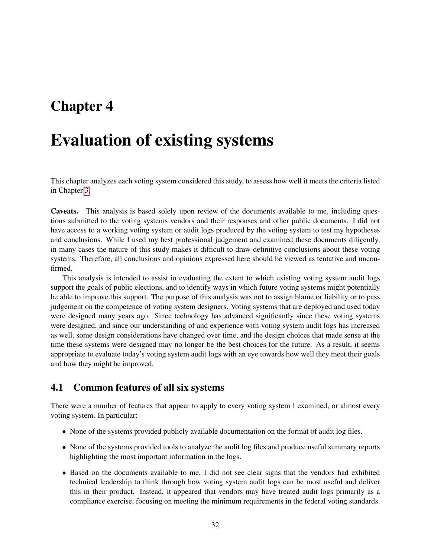# <span id="page-32-0"></span>Chapter 4

# Evaluation of existing systems

This chapter analyzes each voting system considered this study, to assess how well it meets the criteria listed in Chapter [3.](#page-14-0)

Caveats. This analysis is based solely upon review of the documents available to me, including questions submitted to the voting systems vendors and their responses and other public documents. I did not have access to a working voting system or audit logs produced by the voting system to test my hypotheses and conclusions. While I used my best professional judgement and examined these documents diligently, in many cases the nature of this study makes it difficult to draw definitive conclusions about these voting systems. Therefore, all conclusions and opinions expressed here should be viewed as tentative and unconfirmed.

This analysis is intended to assist in evaluating the extent to which existing voting system audit logs support the goals of public elections, and to identify ways in which future voting systems might potentially be able to improve this support. The purpose of this analysis was not to assign blame or liability or to pass judgement on the competence of voting system designers. Voting systems that are deployed and used today were designed many years ago. Since technology has advanced significantly since these voting systems were designed, and since our understanding of and experience with voting system audit logs has increased as well, some design considerations have changed over time, and the design choices that made sense at the time these systems were designed may no longer be the best choices for the future. As a result, it seems appropriate to evaluate today's voting system audit logs with an eye towards how well they meet their goals and how they might be improved.

## <span id="page-32-1"></span>4.1 Common features of all six systems

There were a number of features that appear to apply to every voting system I examined, or almost every voting system. In particular:

- None of the systems provided publicly available documentation on the format of audit log files.
- None of the systems provided tools to analyze the audit log files and produce useful summary reports highlighting the most important information in the logs.
- Based on the documents available to me, I did not see clear signs that the vendors had exhibited technical leadership to think through how voting system audit logs can be most useful and deliver this in their product. Instead, it appeared that vendors may have treated audit logs primarily as a compliance exercise, focusing on meeting the minimum requirements in the federal voting standards.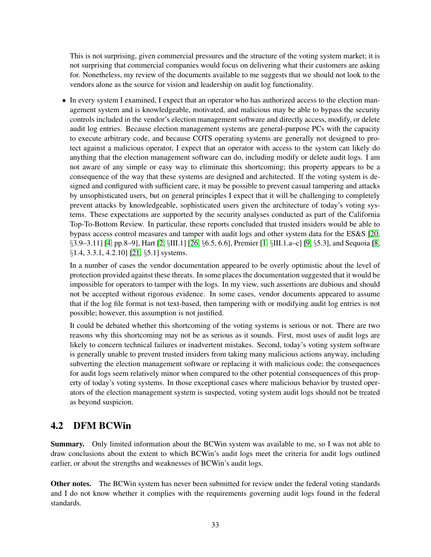This is not surprising, given commercial pressures and the structure of the voting system market; it is not surprising that commercial companies would focus on delivering what their customers are asking for. Nonetheless, my review of the documents available to me suggests that we should not look to the vendors alone as the source for vision and leadership on audit log functionality.

• In every system I examined, I expect that an operator who has authorized access to the election management system and is knowledgeable, motivated, and malicious may be able to bypass the security controls included in the vendor's election management software and directly access, modify, or delete audit log entries. Because election management systems are general-purpose PCs with the capacity to execute arbitrary code, and because COTS operating systems are generally not designed to protect against a malicious operator, I expect that an operator with access to the system can likely do anything that the election management software can do, including modify or delete audit logs. I am not aware of any simple or easy way to eliminate this shortcoming; this property appears to be a consequence of the way that these systems are designed and architected. If the voting system is designed and configured with sufficient care, it may be possible to prevent casual tampering and attacks by unsophisticated users, but on general principles I expect that it will be challenging to completely prevent attacks by knowledgeable, sophisticated users given the architecture of today's voting systems. These expectations are supported by the security analyses conducted as part of the California Top-To-Bottom Review. In particular, these reports concluded that trusted insiders would be able to bypass access control measures and tamper with audit logs and other system data for the ES&S [\[20,](#page-55-12) §3.9–3.11] [\[4,](#page-54-8) pp.8–9], Hart [\[2,](#page-54-9) §III.1] [\[26,](#page-55-13) §6.5, 6.6], Premier [\[1,](#page-54-10) §III.1.a–c] [\[9,](#page-54-11) §5.3], and Sequoia [\[8,](#page-54-12) §1.4, 3.3.1, 4.2.10] [\[21,](#page-55-14) §5.1] systems.

In a number of cases the vendor documentation appeared to be overly optimistic about the level of protection provided against these threats. In some places the documentation suggested that it would be impossible for operators to tamper with the logs. In my view, such assertions are dubious and should not be accepted without rigorous evidence. In some cases, vendor documents appeared to assume that if the log file format is not text-based, then tampering with or modifying audit log entries is not possible; however, this assumption is not justified.

It could be debated whether this shortcoming of the voting systems is serious or not. There are two reasons why this shortcoming may not be as serious as it sounds. First, most uses of audit logs are likely to concern technical failures or inadvertent mistakes. Second, today's voting system software is generally unable to prevent trusted insiders from taking many malicious actions anyway, including subverting the election management software or replacing it with malicious code; the consequences for audit logs seem relatively minor when compared to the other potential consequences of this property of today's voting systems. In those exceptional cases where malicious behavior by trusted operators of the election management system is suspected, voting system audit logs should not be treated as beyond suspicion.

# <span id="page-33-0"></span>4.2 DFM BCWin

Summary. Only limited information about the BCWin system was available to me, so I was not able to draw conclusions about the extent to which BCWin's audit logs meet the criteria for audit logs outlined earlier, or about the strengths and weaknesses of BCWin's audit logs.

Other notes. The BCWin system has never been submitted for review under the federal voting standards and I do not know whether it complies with the requirements governing audit logs found in the federal standards.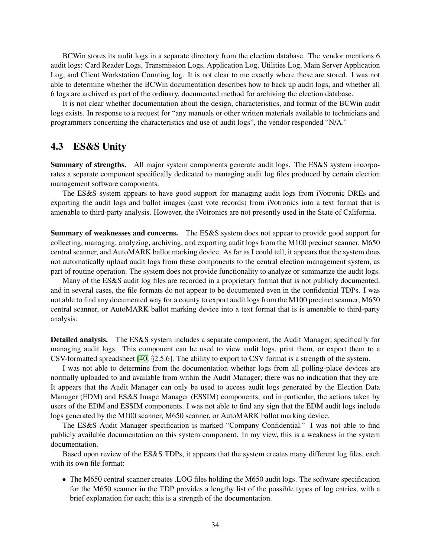BCWin stores its audit logs in a separate directory from the election database. The vendor mentions 6 audit logs: Card Reader Logs, Transmission Logs, Application Log, Utilities Log, Main Server Application Log, and Client Workstation Counting log. It is not clear to me exactly where these are stored. I was not able to determine whether the BCWin documentation describes how to back up audit logs, and whether all 6 logs are archived as part of the ordinary, documented method for archiving the election database.

It is not clear whether documentation about the design, characteristics, and format of the BCWin audit logs exists. In response to a request for "any manuals or other written materials available to technicians and programmers concerning the characteristics and use of audit logs", the vendor responded "N/A."

## <span id="page-34-0"></span>4.3 ES&S Unity

Summary of strengths. All major system components generate audit logs. The ES&S system incorporates a separate component specifically dedicated to managing audit log files produced by certain election management software components.

The ES&S system appears to have good support for managing audit logs from iVotronic DREs and exporting the audit logs and ballot images (cast vote records) from iVotronics into a text format that is amenable to third-party analysis. However, the iVotronics are not presently used in the State of California.

Summary of weaknesses and concerns. The ES&S system does not appear to provide good support for collecting, managing, analyzing, archiving, and exporting audit logs from the M100 precinct scanner, M650 central scanner, and AutoMARK ballot marking device. As far as I could tell, it appears that the system does not automatically upload audit logs from these components to the central election management system, as part of routine operation. The system does not provide functionality to analyze or summarize the audit logs.

Many of the ES&S audit log files are recorded in a proprietary format that is not publicly documented, and in several cases, the file formats do not appear to be documented even in the confidential TDPs. I was not able to find any documented way for a county to export audit logs from the M100 precinct scanner, M650 central scanner, or AutoMARK ballot marking device into a text format that is is amenable to third-party analysis.

Detailed analysis. The ES&S system includes a separate component, the Audit Manager, specifically for managing audit logs. This component can be used to view audit logs, print them, or export them to a CSV-formatted spreadsheet [\[40,](#page-56-9) §2.5.6]. The ability to export to CSV format is a strength of the system.

I was not able to determine from the documentation whether logs from all polling-place devices are normally uploaded to and available from within the Audit Manager; there was no indication that they are. It appears that the Audit Manager can only be used to access audit logs generated by the Election Data Manager (EDM) and ES&S Image Manager (ESSIM) components, and in particular, the actions taken by users of the EDM and ESSIM components. I was not able to find any sign that the EDM audit logs include logs generated by the M100 scanner, M650 scanner, or AutoMARK ballot marking device.

The ES&S Audit Manager specification is marked "Company Confidential." I was not able to find publicly available documentation on this system component. In my view, this is a weakness in the system documentation.

Based upon review of the ES&S TDPs, it appears that the system creates many different log files, each with its own file format:

• The M650 central scanner creates .LOG files holding the M650 audit logs. The software specification for the M650 scanner in the TDP provides a lengthy list of the possible types of log entries, with a brief explanation for each; this is a strength of the documentation.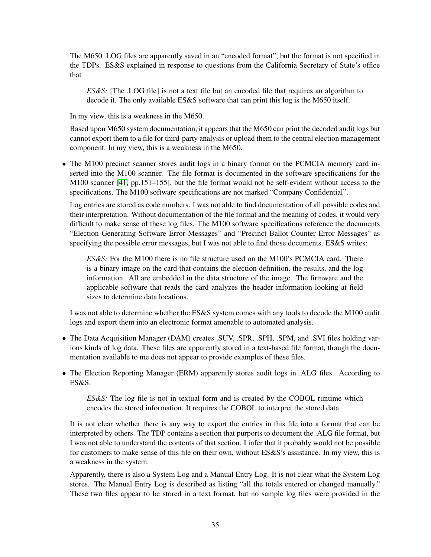The M650 .LOG files are apparently saved in an "encoded format", but the format is not specified in the TDPs. ES&S explained in response to questions from the California Secretary of State's office that

*ES&S:* [The .LOG file] is not a text file but an encoded file that requires an algorithm to decode it. The only available ES&S software that can print this log is the M650 itself.

In my view, this is a weakness in the M650.

Based upon M650 system documentation, it appears that the M650 can print the decoded audit logs but cannot export them to a file for third-party analysis or upload them to the central election management component. In my view, this is a weakness in the M650.

• The M100 precinct scanner stores audit logs in a binary format on the PCMCIA memory card inserted into the M100 scanner. The file format is documented in the software specifications for the M100 scanner [\[41,](#page-56-10) pp.151–155], but the file format would not be self-evident without access to the specifications. The M100 software specifications are not marked "Company Confidential".

Log entries are stored as code numbers. I was not able to find documentation of all possible codes and their interpretation. Without documentation of the file format and the meaning of codes, it would very difficult to make sense of these log files. The M100 software specifications reference the documents "Election Generating Software Error Messages" and "Precinct Ballot Counter Error Messages" as specifying the possible error messages, but I was not able to find those documents. ES&S writes:

*ES&S:* For the M100 there is no file structure used on the M100's PCMCIA card. There is a binary image on the card that contains the election definition, the results, and the log information. All are embedded in the data structure of the image. The firmware and the applicable software that reads the card analyzes the header information looking at field sizes to determine data locations.

I was not able to determine whether the ES&S system comes with any tools to decode the M100 audit logs and export them into an electronic format amenable to automated analysis.

- The Data Acquisition Manager (DAM) creates .SUV, .SPR, .SPH, .SPM, and .SVI files holding various kinds of log data. These files are apparently stored in a text-based file format, though the documentation available to me does not appear to provide examples of these files.
- The Election Reporting Manager (ERM) apparently stores audit logs in .ALG files. According to ES&S:

*ES&S:* The log file is not in textual form and is created by the COBOL runtime which encodes the stored information. It requires the COBOL to interpret the stored data.

It is not clear whether there is any way to export the entries in this file into a format that can be interpreted by others. The TDP contains a section that purports to document the .ALG file format, but I was not able to understand the contents of that section. I infer that it probably would not be possible for customers to make sense of this file on their own, without ES&S's assistance. In my view, this is a weakness in the system.

Apparently, there is also a System Log and a Manual Entry Log. It is not clear what the System Log stores. The Manual Entry Log is described as listing "all the totals entered or changed manually." These two files appear to be stored in a text format, but no sample log files were provided in the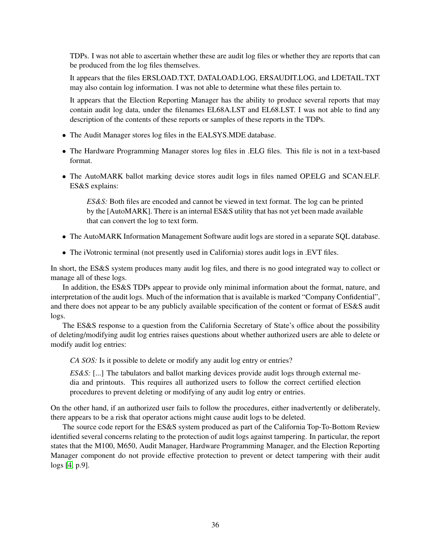TDPs. I was not able to ascertain whether these are audit log files or whether they are reports that can be produced from the log files themselves.

It appears that the files ERSLOAD.TXT, DATALOAD.LOG, ERSAUDIT.LOG, and LDETAIL.TXT may also contain log information. I was not able to determine what these files pertain to.

It appears that the Election Reporting Manager has the ability to produce several reports that may contain audit log data, under the filenames EL68A.LST and EL68.LST. I was not able to find any description of the contents of these reports or samples of these reports in the TDPs.

- The Audit Manager stores log files in the EALSYS.MDE database.
- The Hardware Programming Manager stores log files in .ELG files. This file is not in a text-based format.
- The AutoMARK ballot marking device stores audit logs in files named OP.ELG and SCAN.ELF. ES&S explains:

*ES&S:* Both files are encoded and cannot be viewed in text format. The log can be printed by the [AutoMARK]. There is an internal ES&S utility that has not yet been made available that can convert the log to text form.

- The AutoMARK Information Management Software audit logs are stored in a separate SQL database.
- The iVotronic terminal (not presently used in California) stores audit logs in .EVT files.

In short, the ES&S system produces many audit log files, and there is no good integrated way to collect or manage all of these logs.

In addition, the ES&S TDPs appear to provide only minimal information about the format, nature, and interpretation of the audit logs. Much of the information that is available is marked "Company Confidential", and there does not appear to be any publicly available specification of the content or format of ES&S audit logs.

The ES&S response to a question from the California Secretary of State's office about the possibility of deleting/modifying audit log entries raises questions about whether authorized users are able to delete or modify audit log entries:

*CA SOS:* Is it possible to delete or modify any audit log entry or entries?

*ES&S:* [...] The tabulators and ballot marking devices provide audit logs through external media and printouts. This requires all authorized users to follow the correct certified election procedures to prevent deleting or modifying of any audit log entry or entries.

On the other hand, if an authorized user fails to follow the procedures, either inadvertently or deliberately, there appears to be a risk that operator actions might cause audit logs to be deleted.

The source code report for the ES&S system produced as part of the California Top-To-Bottom Review identified several concerns relating to the protection of audit logs against tampering. In particular, the report states that the M100, M650, Audit Manager, Hardware Programming Manager, and the Election Reporting Manager component do not provide effective protection to prevent or detect tampering with their audit logs [\[4,](#page-54-8) p.9].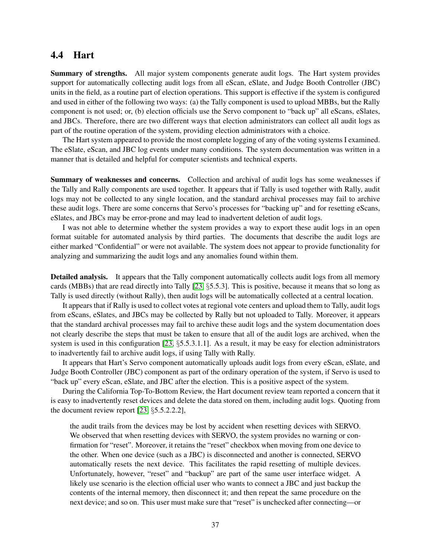### <span id="page-37-0"></span>4.4 Hart

Summary of strengths. All major system components generate audit logs. The Hart system provides support for automatically collecting audit logs from all eScan, eSlate, and Judge Booth Controller (JBC) units in the field, as a routine part of election operations. This support is effective if the system is configured and used in either of the following two ways: (a) the Tally component is used to upload MBBs, but the Rally component is not used; or, (b) election officials use the Servo component to "back up" all eScans, eSlates, and JBCs. Therefore, there are two different ways that election administrators can collect all audit logs as part of the routine operation of the system, providing election administrators with a choice.

The Hart system appeared to provide the most complete logging of any of the voting systems I examined. The eSlate, eScan, and JBC log events under many conditions. The system documentation was written in a manner that is detailed and helpful for computer scientists and technical experts.

Summary of weaknesses and concerns. Collection and archival of audit logs has some weaknesses if the Tally and Rally components are used together. It appears that if Tally is used together with Rally, audit logs may not be collected to any single location, and the standard archival processes may fail to archive these audit logs. There are some concerns that Servo's processes for "backing up" and for resetting eScans, eSlates, and JBCs may be error-prone and may lead to inadvertent deletion of audit logs.

I was not able to determine whether the system provides a way to export these audit logs in an open format suitable for automated analysis by third parties. The documents that describe the audit logs are either marked "Confidential" or were not available. The system does not appear to provide functionality for analyzing and summarizing the audit logs and any anomalies found within them.

Detailed analysis. It appears that the Tally component automatically collects audit logs from all memory cards (MBBs) that are read directly into Tally [\[23,](#page-55-15) §5.5.3]. This is positive, because it means that so long as Tally is used directly (without Rally), then audit logs will be automatically collected at a central location.

It appears that if Rally is used to collect votes at regional vote centers and upload them to Tally, audit logs from eScans, eSlates, and JBCs may be collected by Rally but not uploaded to Tally. Moreover, it appears that the standard archival processes may fail to archive these audit logs and the system documentation does not clearly describe the steps that must be taken to ensure that all of the audit logs are archived, when the system is used in this configuration [\[23,](#page-55-15) §5.5.3.1.1]. As a result, it may be easy for election administrators to inadvertently fail to archive audit logs, if using Tally with Rally.

It appears that Hart's Servo component automatically uploads audit logs from every eScan, eSlate, and Judge Booth Controller (JBC) component as part of the ordinary operation of the system, if Servo is used to "back up" every eScan, eSlate, and JBC after the election. This is a positive aspect of the system.

During the California Top-To-Bottom Review, the Hart document review team reported a concern that it is easy to inadvertently reset devices and delete the data stored on them, including audit logs. Quoting from the document review report [\[23,](#page-55-15) §5.5.2.2.2],

the audit trails from the devices may be lost by accident when resetting devices with SERVO. We observed that when resetting devices with SERVO, the system provides no warning or confirmation for "reset". Moreover, it retains the "reset" checkbox when moving from one device to the other. When one device (such as a JBC) is disconnected and another is connected, SERVO automatically resets the next device. This facilitates the rapid resetting of multiple devices. Unfortunately, however, "reset" and "backup" are part of the same user interface widget. A likely use scenario is the election official user who wants to connect a JBC and just backup the contents of the internal memory, then disconnect it; and then repeat the same procedure on the next device; and so on. This user must make sure that "reset" is unchecked after connecting—or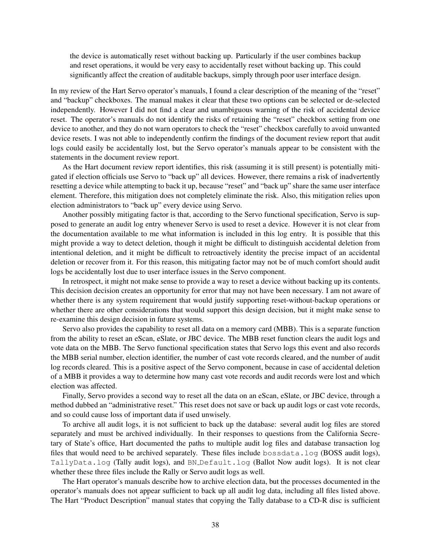the device is automatically reset without backing up. Particularly if the user combines backup and reset operations, it would be very easy to accidentally reset without backing up. This could significantly affect the creation of auditable backups, simply through poor user interface design.

In my review of the Hart Servo operator's manuals, I found a clear description of the meaning of the "reset" and "backup" checkboxes. The manual makes it clear that these two options can be selected or de-selected independently. However I did not find a clear and unambiguous warning of the risk of accidental device reset. The operator's manuals do not identify the risks of retaining the "reset" checkbox setting from one device to another, and they do not warn operators to check the "reset" checkbox carefully to avoid unwanted device resets. I was not able to independently confirm the findings of the document review report that audit logs could easily be accidentally lost, but the Servo operator's manuals appear to be consistent with the statements in the document review report.

As the Hart document review report identifies, this risk (assuming it is still present) is potentially mitigated if election officials use Servo to "back up" all devices. However, there remains a risk of inadvertently resetting a device while attempting to back it up, because "reset" and "back up" share the same user interface element. Therefore, this mitigation does not completely eliminate the risk. Also, this mitigation relies upon election administrators to "back up" every device using Servo.

Another possibly mitigating factor is that, according to the Servo functional specification, Servo is supposed to generate an audit log entry whenever Servo is used to reset a device. However it is not clear from the documentation available to me what information is included in this log entry. It is possible that this might provide a way to detect deletion, though it might be difficult to distinguish accidental deletion from intentional deletion, and it might be difficult to retroactively identity the precise impact of an accidental deletion or recover from it. For this reason, this mitigating factor may not be of much comfort should audit logs be accidentally lost due to user interface issues in the Servo component.

In retrospect, it might not make sense to provide a way to reset a device without backing up its contents. This decision decision creates an opportunity for error that may not have been necessary. I am not aware of whether there is any system requirement that would justify supporting reset-without-backup operations or whether there are other considerations that would support this design decision, but it might make sense to re-examine this design decision in future systems.

Servo also provides the capability to reset all data on a memory card (MBB). This is a separate function from the ability to reset an eScan, eSlate, or JBC device. The MBB reset function clears the audit logs and vote data on the MBB. The Servo functional specification states that Servo logs this event and also records the MBB serial number, election identifier, the number of cast vote records cleared, and the number of audit log records cleared. This is a positive aspect of the Servo component, because in case of accidental deletion of a MBB it provides a way to determine how many cast vote records and audit records were lost and which election was affected.

Finally, Servo provides a second way to reset all the data on an eScan, eSlate, or JBC device, through a method dubbed an "administrative reset." This reset does not save or back up audit logs or cast vote records, and so could cause loss of important data if used unwisely.

To archive all audit logs, it is not sufficient to back up the database: several audit log files are stored separately and must be archived individually. In their responses to questions from the California Secretary of State's office, Hart documented the paths to multiple audit log files and database transaction log files that would need to be archived separately. These files include bossdata.log (BOSS audit logs), TallyData.log (Tally audit logs), and BN Default.log (Ballot Now audit logs). It is not clear whether these three files include the Rally or Servo audit logs as well.

The Hart operator's manuals describe how to archive election data, but the processes documented in the operator's manuals does not appear sufficient to back up all audit log data, including all files listed above. The Hart "Product Description" manual states that copying the Tally database to a CD-R disc is sufficient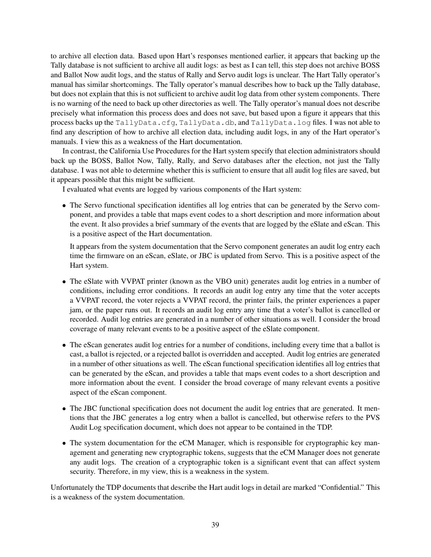to archive all election data. Based upon Hart's responses mentioned earlier, it appears that backing up the Tally database is not sufficient to archive all audit logs: as best as I can tell, this step does not archive BOSS and Ballot Now audit logs, and the status of Rally and Servo audit logs is unclear. The Hart Tally operator's manual has similar shortcomings. The Tally operator's manual describes how to back up the Tally database, but does not explain that this is not sufficient to archive audit log data from other system components. There is no warning of the need to back up other directories as well. The Tally operator's manual does not describe precisely what information this process does and does not save, but based upon a figure it appears that this process backs up the TallyData.cfg, TallyData.db, and TallyData.log files. I was not able to find any description of how to archive all election data, including audit logs, in any of the Hart operator's manuals. I view this as a weakness of the Hart documentation.

In contrast, the California Use Procedures for the Hart system specify that election administrators should back up the BOSS, Ballot Now, Tally, Rally, and Servo databases after the election, not just the Tally database. I was not able to determine whether this is sufficient to ensure that all audit log files are saved, but it appears possible that this might be sufficient.

I evaluated what events are logged by various components of the Hart system:

• The Servo functional specification identifies all log entries that can be generated by the Servo component, and provides a table that maps event codes to a short description and more information about the event. It also provides a brief summary of the events that are logged by the eSlate and eScan. This is a positive aspect of the Hart documentation.

It appears from the system documentation that the Servo component generates an audit log entry each time the firmware on an eScan, eSlate, or JBC is updated from Servo. This is a positive aspect of the Hart system.

- The eSlate with VVPAT printer (known as the VBO unit) generates audit log entries in a number of conditions, including error conditions. It records an audit log entry any time that the voter accepts a VVPAT record, the voter rejects a VVPAT record, the printer fails, the printer experiences a paper jam, or the paper runs out. It records an audit log entry any time that a voter's ballot is cancelled or recorded. Audit log entries are generated in a number of other situations as well. I consider the broad coverage of many relevant events to be a positive aspect of the eSlate component.
- The eScan generates audit log entries for a number of conditions, including every time that a ballot is cast, a ballot is rejected, or a rejected ballot is overridden and accepted. Audit log entries are generated in a number of other situations as well. The eScan functional specification identifies all log entries that can be generated by the eScan, and provides a table that maps event codes to a short description and more information about the event. I consider the broad coverage of many relevant events a positive aspect of the eScan component.
- The JBC functional specification does not document the audit log entries that are generated. It mentions that the JBC generates a log entry when a ballot is cancelled, but otherwise refers to the PVS Audit Log specification document, which does not appear to be contained in the TDP.
- The system documentation for the eCM Manager, which is responsible for cryptographic key management and generating new cryptographic tokens, suggests that the eCM Manager does not generate any audit logs. The creation of a cryptographic token is a significant event that can affect system security. Therefore, in my view, this is a weakness in the system.

Unfortunately the TDP documents that describe the Hart audit logs in detail are marked "Confidential." This is a weakness of the system documentation.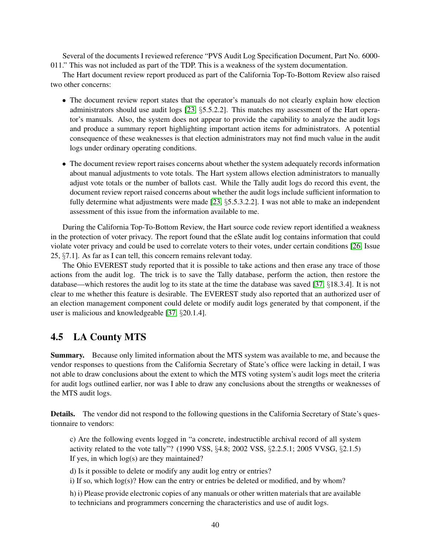Several of the documents I reviewed reference "PVS Audit Log Specification Document, Part No. 6000- 011." This was not included as part of the TDP. This is a weakness of the system documentation.

The Hart document review report produced as part of the California Top-To-Bottom Review also raised two other concerns:

- The document review report states that the operator's manuals do not clearly explain how election administrators should use audit logs [\[23,](#page-55-15) §5.5.2.2]. This matches my assessment of the Hart operator's manuals. Also, the system does not appear to provide the capability to analyze the audit logs and produce a summary report highlighting important action items for administrators. A potential consequence of these weaknesses is that election administrators may not find much value in the audit logs under ordinary operating conditions.
- The document review report raises concerns about whether the system adequately records information about manual adjustments to vote totals. The Hart system allows election administrators to manually adjust vote totals or the number of ballots cast. While the Tally audit logs do record this event, the document review report raised concerns about whether the audit logs include sufficient information to fully determine what adjustments were made  $[23, §5.5.3.2.2]$  $[23, §5.5.3.2.2]$ . I was not able to make an independent assessment of this issue from the information available to me.

During the California Top-To-Bottom Review, the Hart source code review report identified a weakness in the protection of voter privacy. The report found that the eSlate audit log contains information that could violate voter privacy and could be used to correlate voters to their votes, under certain conditions [\[26,](#page-55-13) Issue 25, §7.1]. As far as I can tell, this concern remains relevant today.

The Ohio EVEREST study reported that it is possible to take actions and then erase any trace of those actions from the audit log. The trick is to save the Tally database, perform the action, then restore the database—which restores the audit log to its state at the time the database was saved [\[37,](#page-56-11) §18.3.4]. It is not clear to me whether this feature is desirable. The EVEREST study also reported that an authorized user of an election management component could delete or modify audit logs generated by that component, if the user is malicious and knowledgeable [\[37,](#page-56-11) §20.1.4].

# <span id="page-40-0"></span>4.5 LA County MTS

Summary. Because only limited information about the MTS system was available to me, and because the vendor responses to questions from the California Secretary of State's office were lacking in detail, I was not able to draw conclusions about the extent to which the MTS voting system's audit logs meet the criteria for audit logs outlined earlier, nor was I able to draw any conclusions about the strengths or weaknesses of the MTS audit logs.

Details. The vendor did not respond to the following questions in the California Secretary of State's questionnaire to vendors:

c) Are the following events logged in "a concrete, indestructible archival record of all system activity related to the vote tally"? (1990 VSS, §4.8; 2002 VSS, §2.2.5.1; 2005 VVSG, §2.1.5) If yes, in which log(s) are they maintained?

d) Is it possible to delete or modify any audit log entry or entries?

i) If so, which  $log(s)$ ? How can the entry or entries be deleted or modified, and by whom?

h) i) Please provide electronic copies of any manuals or other written materials that are available to technicians and programmers concerning the characteristics and use of audit logs.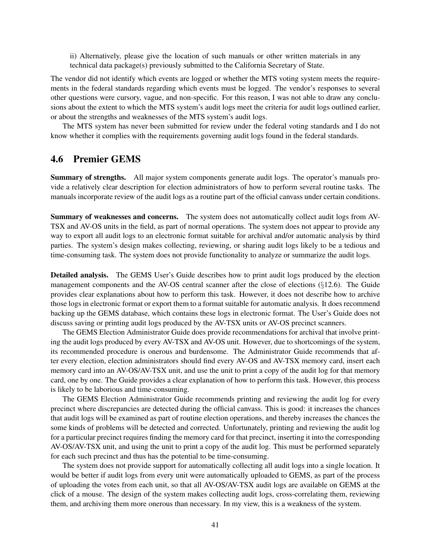ii) Alternatively, please give the location of such manuals or other written materials in any technical data package(s) previously submitted to the California Secretary of State.

The vendor did not identify which events are logged or whether the MTS voting system meets the requirements in the federal standards regarding which events must be logged. The vendor's responses to several other questions were cursory, vague, and non-specific. For this reason, I was not able to draw any conclusions about the extent to which the MTS system's audit logs meet the criteria for audit logs outlined earlier, or about the strengths and weaknesses of the MTS system's audit logs.

The MTS system has never been submitted for review under the federal voting standards and I do not know whether it complies with the requirements governing audit logs found in the federal standards.

### <span id="page-41-0"></span>4.6 Premier GEMS

Summary of strengths. All major system components generate audit logs. The operator's manuals provide a relatively clear description for election administrators of how to perform several routine tasks. The manuals incorporate review of the audit logs as a routine part of the official canvass under certain conditions.

Summary of weaknesses and concerns. The system does not automatically collect audit logs from AV-TSX and AV-OS units in the field, as part of normal operations. The system does not appear to provide any way to export all audit logs to an electronic format suitable for archival and/or automatic analysis by third parties. The system's design makes collecting, reviewing, or sharing audit logs likely to be a tedious and time-consuming task. The system does not provide functionality to analyze or summarize the audit logs.

Detailed analysis. The GEMS User's Guide describes how to print audit logs produced by the election management components and the AV-OS central scanner after the close of elections (§12.6). The Guide provides clear explanations about how to perform this task. However, it does not describe how to archive those logs in electronic format or export them to a format suitable for automatic analysis. It does recommend backing up the GEMS database, which contains these logs in electronic format. The User's Guide does not discuss saving or printing audit logs produced by the AV-TSX units or AV-OS precinct scanners.

The GEMS Election Administrator Guide does provide recommendations for archival that involve printing the audit logs produced by every AV-TSX and AV-OS unit. However, due to shortcomings of the system, its recommended procedure is onerous and burdensome. The Administrator Guide recommends that after every election, election administrators should find every AV-OS and AV-TSX memory card, insert each memory card into an AV-OS/AV-TSX unit, and use the unit to print a copy of the audit log for that memory card, one by one. The Guide provides a clear explanation of how to perform this task. However, this process is likely to be laborious and time-consuming.

The GEMS Election Administrator Guide recommends printing and reviewing the audit log for every precinct where discrepancies are detected during the official canvass. This is good: it increases the chances that audit logs will be examined as part of routine election operations, and thereby increases the chances the some kinds of problems will be detected and corrected. Unfortunately, printing and reviewing the audit log for a particular precinct requires finding the memory card for that precinct, inserting it into the corresponding AV-OS/AV-TSX unit, and using the unit to print a copy of the audit log. This must be performed separately for each such precinct and thus has the potential to be time-consuming.

The system does not provide support for automatically collecting all audit logs into a single location. It would be better if audit logs from every unit were automatically uploaded to GEMS, as part of the process of uploading the votes from each unit, so that all AV-OS/AV-TSX audit logs are available on GEMS at the click of a mouse. The design of the system makes collecting audit logs, cross-correlating them, reviewing them, and archiving them more onerous than necessary. In my view, this is a weakness of the system.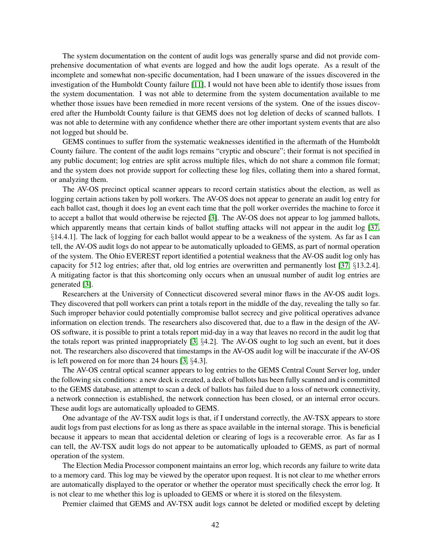The system documentation on the content of audit logs was generally sparse and did not provide comprehensive documentation of what events are logged and how the audit logs operate. As a result of the incomplete and somewhat non-specific documentation, had I been unaware of the issues discovered in the investigation of the Humboldt County failure [\[11\]](#page-54-6), I would not have been able to identify those issues from the system documentation. I was not able to determine from the system documentation available to me whether those issues have been remedied in more recent versions of the system. One of the issues discovered after the Humboldt County failure is that GEMS does not log deletion of decks of scanned ballots. I was not able to determine with any confidence whether there are other important system events that are also not logged but should be.

GEMS continues to suffer from the systematic weaknesses identified in the aftermath of the Humboldt County failure. The content of the audit logs remains "cryptic and obscure"; their format is not specified in any public document; log entries are split across multiple files, which do not share a common file format; and the system does not provide support for collecting these log files, collating them into a shared format, or analyzing them.

The AV-OS precinct optical scanner appears to record certain statistics about the election, as well as logging certain actions taken by poll workers. The AV-OS does not appear to generate an audit log entry for each ballot cast, though it does log an event each time that the poll worker overrides the machine to force it to accept a ballot that would otherwise be rejected [\[3\]](#page-54-0). The AV-OS does not appear to log jammed ballots, which apparently means that certain kinds of ballot stuffing attacks will not appear in the audit log [\[37,](#page-56-11) §14.4.1]. The lack of logging for each ballot would appear to be a weakness of the system. As far as I can tell, the AV-OS audit logs do not appear to be automatically uploaded to GEMS, as part of normal operation of the system. The Ohio EVEREST report identified a potential weakness that the AV-OS audit log only has capacity for 512 log entries; after that, old log entries are overwritten and permanently lost [\[37,](#page-56-11) §13.2.4]. A mitigating factor is that this shortcoming only occurs when an unusual number of audit log entries are generated [\[3\]](#page-54-0).

Researchers at the University of Connecticut discovered several minor flaws in the AV-OS audit logs. They discovered that poll workers can print a totals report in the middle of the day, revealing the tally so far. Such improper behavior could potentially compromise ballot secrecy and give political operatives advance information on election trends. The researchers also discovered that, due to a flaw in the design of the AV-OS software, it is possible to print a totals report mid-day in a way that leaves no record in the audit log that the totals report was printed inappropriately [\[3,](#page-54-0) §4.2]. The AV-OS ought to log such an event, but it does not. The researchers also discovered that timestamps in the AV-OS audit log will be inaccurate if the AV-OS is left powered on for more than 24 hours [\[3,](#page-54-0) §4.3].

The AV-OS central optical scanner appears to log entries to the GEMS Central Count Server log, under the following six conditions: a new deck is created, a deck of ballots has been fully scanned and is committed to the GEMS database, an attempt to scan a deck of ballots has failed due to a loss of network connectivity, a network connection is established, the network connection has been closed, or an internal error occurs. These audit logs are automatically uploaded to GEMS.

One advantage of the AV-TSX audit logs is that, if I understand correctly, the AV-TSX appears to store audit logs from past elections for as long as there as space available in the internal storage. This is beneficial because it appears to mean that accidental deletion or clearing of logs is a recoverable error. As far as I can tell, the AV-TSX audit logs do not appear to be automatically uploaded to GEMS, as part of normal operation of the system.

The Election Media Processor component maintains an error log, which records any failure to write data to a memory card. This log may be viewed by the operator upon request. It is not clear to me whether errors are automatically displayed to the operator or whether the operator must specifically check the error log. It is not clear to me whether this log is uploaded to GEMS or where it is stored on the filesystem.

Premier claimed that GEMS and AV-TSX audit logs cannot be deleted or modified except by deleting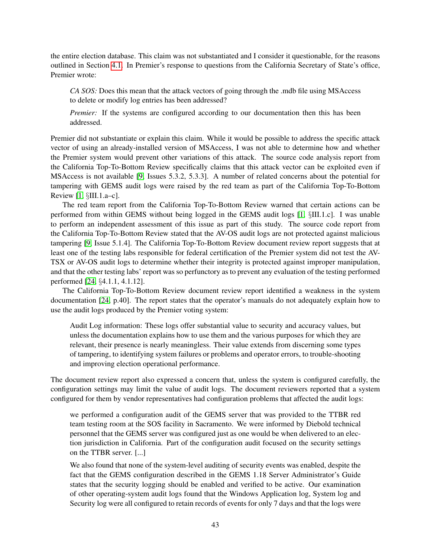the entire election database. This claim was not substantiated and I consider it questionable, for the reasons outlined in Section [4.1.](#page-32-1) In Premier's response to questions from the California Secretary of State's office, Premier wrote:

*CA SOS:* Does this mean that the attack vectors of going through the .mdb file using MSAccess to delete or modify log entries has been addressed?

*Premier:* If the systems are configured according to our documentation then this has been addressed.

Premier did not substantiate or explain this claim. While it would be possible to address the specific attack vector of using an already-installed version of MSAccess, I was not able to determine how and whether the Premier system would prevent other variations of this attack. The source code analysis report from the California Top-To-Bottom Review specifically claims that this attack vector can be exploited even if MSAccess is not available [\[9,](#page-54-11) Issues 5.3.2, 5.3.3]. A number of related concerns about the potential for tampering with GEMS audit logs were raised by the red team as part of the California Top-To-Bottom Review [\[1,](#page-54-10) §III.1.a–c].

The red team report from the California Top-To-Bottom Review warned that certain actions can be performed from within GEMS without being logged in the GEMS audit logs [\[1,](#page-54-10) §III.1.c]. I was unable to perform an independent assessment of this issue as part of this study. The source code report from the California Top-To-Bottom Review stated that the AV-OS audit logs are not protected against malicious tampering [\[9,](#page-54-11) Issue 5.1.4]. The California Top-To-Bottom Review document review report suggests that at least one of the testing labs responsible for federal certification of the Premier system did not test the AV-TSX or AV-OS audit logs to determine whether their integrity is protected against improper manipulation, and that the other testing labs' report was so perfunctory as to prevent any evaluation of the testing performed performed [\[24,](#page-55-16) §4.1.1, 4.1.12].

The California Top-To-Bottom Review document review report identified a weakness in the system documentation [\[24,](#page-55-16) p.40]. The report states that the operator's manuals do not adequately explain how to use the audit logs produced by the Premier voting system:

Audit Log information: These logs offer substantial value to security and accuracy values, but unless the documentation explains how to use them and the various purposes for which they are relevant, their presence is nearly meaningless. Their value extends from discerning some types of tampering, to identifying system failures or problems and operator errors, to trouble-shooting and improving election operational performance.

The document review report also expressed a concern that, unless the system is configured carefully, the configuration settings may limit the value of audit logs. The document reviewers reported that a system configured for them by vendor representatives had configuration problems that affected the audit logs:

we performed a configuration audit of the GEMS server that was provided to the TTBR red team testing room at the SOS facility in Sacramento. We were informed by Diebold technical personnel that the GEMS server was configured just as one would be when delivered to an election jurisdiction in California. Part of the configuration audit focused on the security settings on the TTBR server. [...]

We also found that none of the system-level auditing of security events was enabled, despite the fact that the GEMS configuration described in the GEMS 1.18 Server Administrator's Guide states that the security logging should be enabled and verified to be active. Our examination of other operating-system audit logs found that the Windows Application log, System log and Security log were all configured to retain records of events for only 7 days and that the logs were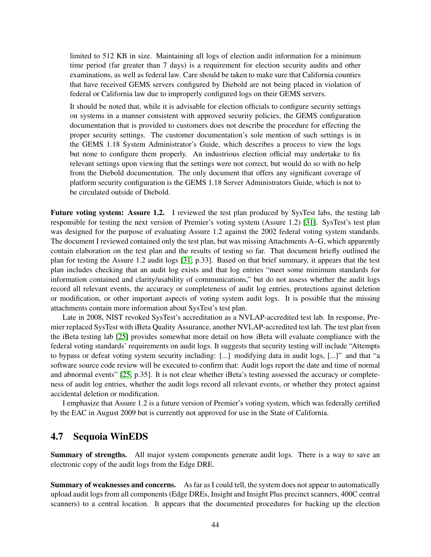limited to 512 KB in size. Maintaining all logs of election audit information for a minimum time period (far greater than 7 days) is a requirement for election security audits and other examinations, as well as federal law. Care should be taken to make sure that California counties that have received GEMS servers configured by Diebold are not being placed in violation of federal or California law due to improperly configured logs on their GEMS servers.

It should be noted that, while it is advisable for election officials to configure security settings on systems in a manner consistent with approved security policies, the GEMS configuration documentation that is provided to customers does not describe the procedure for effecting the proper security settings. The customer documentation's sole mention of such settings is in the GEMS 1.18 System Administrator's Guide, which describes a process to view the logs but none to configure them properly. An industrious election official may undertake to fix relevant settings upon viewing that the settings were not correct, but would do so with no help from the Diebold documentation. The only document that offers any significant coverage of platform security configuration is the GEMS 1.18 Server Administrators Guide, which is not to be circulated outside of Diebold.

Future voting system: Assure 1.2. I reviewed the test plan produced by SysTest labs, the testing lab responsible for testing the next version of Premier's voting system (Assure 1.2) [\[31\]](#page-55-17). SysTest's test plan was designed for the purpose of evaluating Assure 1.2 against the 2002 federal voting system standards. The document I reviewed contained only the test plan, but was missing Attachments A–G, which apparently contain elaboration on the test plan and the results of testing so far. That document briefly outlined the plan for testing the Assure 1.2 audit logs [\[31,](#page-55-17) p.33]. Based on that brief summary, it appears that the test plan includes checking that an audit log exists and that log entries "meet some minimum standards for information contained and clarity/usability of communications," but do not assess whether the audit logs record all relevant events, the accuracy or completeness of audit log entries, protections against deletion or modification, or other important aspects of voting system audit logs. It is possible that the missing attachments contain more information about SysTest's test plan.

Late in 2008, NIST revoked SysTest's accreditation as a NVLAP-accredited test lab. In response, Premier replaced SysTest with iBeta Quality Assurance, another NVLAP-accredited test lab. The test plan from the iBeta testing lab [\[25\]](#page-55-18) provides somewhat more detail on how iBeta will evaluate compliance with the federal voting standards' requirements on audit logs. It suggests that security testing will include "Attempts to bypass or defeat voting system security including: [...] modifying data in audit logs, [...]" and that "a software source code review will be executed to confirm that: Audit logs report the date and time of normal and abnormal events" [\[25,](#page-55-18) p.35]. It is not clear whether iBeta's testing assessed the accuracy or completeness of audit log entries, whether the audit logs record all relevant events, or whether they protect against accidental deletion or modification.

I emphasize that Assure 1.2 is a future version of Premier's voting system, which was federally certified by the EAC in August 2009 but is currently not approved for use in the State of California.

### <span id="page-44-0"></span>4.7 Sequoia WinEDS

Summary of strengths. All major system components generate audit logs. There is a way to save an electronic copy of the audit logs from the Edge DRE.

Summary of weaknesses and concerns. As far as I could tell, the system does not appear to automatically upload audit logs from all components (Edge DREs, Insight and Insight Plus precinct scanners, 400C central scanners) to a central location. It appears that the documented procedures for backing up the election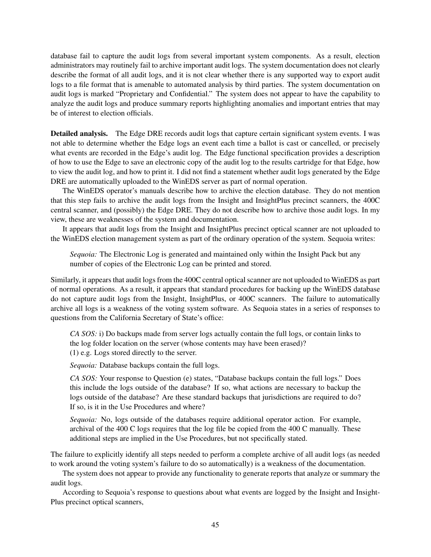database fail to capture the audit logs from several important system components. As a result, election administrators may routinely fail to archive important audit logs. The system documentation does not clearly describe the format of all audit logs, and it is not clear whether there is any supported way to export audit logs to a file format that is amenable to automated analysis by third parties. The system documentation on audit logs is marked "Proprietary and Confidential." The system does not appear to have the capability to analyze the audit logs and produce summary reports highlighting anomalies and important entries that may be of interest to election officials.

Detailed analysis. The Edge DRE records audit logs that capture certain significant system events. I was not able to determine whether the Edge logs an event each time a ballot is cast or cancelled, or precisely what events are recorded in the Edge's audit log. The Edge functional specification provides a description of how to use the Edge to save an electronic copy of the audit log to the results cartridge for that Edge, how to view the audit log, and how to print it. I did not find a statement whether audit logs generated by the Edge DRE are automatically uploaded to the WinEDS server as part of normal operation.

The WinEDS operator's manuals describe how to archive the election database. They do not mention that this step fails to archive the audit logs from the Insight and InsightPlus precinct scanners, the 400C central scanner, and (possibly) the Edge DRE. They do not describe how to archive those audit logs. In my view, these are weaknesses of the system and documentation.

It appears that audit logs from the Insight and InsightPlus precinct optical scanner are not uploaded to the WinEDS election management system as part of the ordinary operation of the system. Sequoia writes:

*Sequoia:* The Electronic Log is generated and maintained only within the Insight Pack but any number of copies of the Electronic Log can be printed and stored.

Similarly, it appears that audit logs from the 400C central optical scanner are not uploaded to WinEDS as part of normal operations. As a result, it appears that standard procedures for backing up the WinEDS database do not capture audit logs from the Insight, InsightPlus, or 400C scanners. The failure to automatically archive all logs is a weakness of the voting system software. As Sequoia states in a series of responses to questions from the California Secretary of State's office:

*CA SOS:* i) Do backups made from server logs actually contain the full logs, or contain links to the log folder location on the server (whose contents may have been erased)? (1) e.g. Logs stored directly to the server.

*Sequoia:* Database backups contain the full logs.

*CA SOS:* Your response to Question (e) states, "Database backups contain the full logs." Does this include the logs outside of the database? If so, what actions are necessary to backup the logs outside of the database? Are these standard backups that jurisdictions are required to do? If so, is it in the Use Procedures and where?

*Sequoia:* No, logs outside of the databases require additional operator action. For example, archival of the 400 C logs requires that the log file be copied from the 400 C manually. These additional steps are implied in the Use Procedures, but not specifically stated.

The failure to explicitly identify all steps needed to perform a complete archive of all audit logs (as needed to work around the voting system's failure to do so automatically) is a weakness of the documentation.

The system does not appear to provide any functionality to generate reports that analyze or summary the audit logs.

According to Sequoia's response to questions about what events are logged by the Insight and Insight-Plus precinct optical scanners,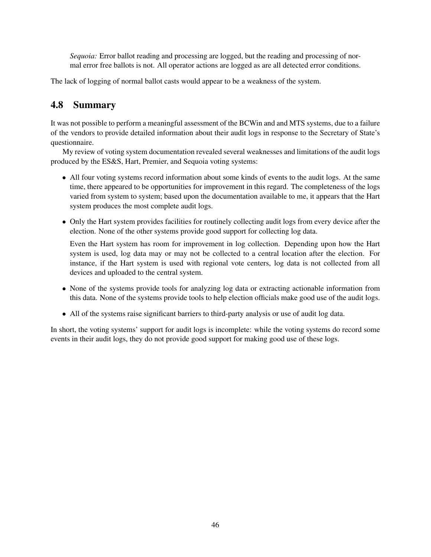*Sequoia:* Error ballot reading and processing are logged, but the reading and processing of normal error free ballots is not. All operator actions are logged as are all detected error conditions.

The lack of logging of normal ballot casts would appear to be a weakness of the system.

# <span id="page-46-0"></span>4.8 Summary

It was not possible to perform a meaningful assessment of the BCWin and and MTS systems, due to a failure of the vendors to provide detailed information about their audit logs in response to the Secretary of State's questionnaire.

My review of voting system documentation revealed several weaknesses and limitations of the audit logs produced by the ES&S, Hart, Premier, and Sequoia voting systems:

- All four voting systems record information about some kinds of events to the audit logs. At the same time, there appeared to be opportunities for improvement in this regard. The completeness of the logs varied from system to system; based upon the documentation available to me, it appears that the Hart system produces the most complete audit logs.
- Only the Hart system provides facilities for routinely collecting audit logs from every device after the election. None of the other systems provide good support for collecting log data.

Even the Hart system has room for improvement in log collection. Depending upon how the Hart system is used, log data may or may not be collected to a central location after the election. For instance, if the Hart system is used with regional vote centers, log data is not collected from all devices and uploaded to the central system.

- None of the systems provide tools for analyzing log data or extracting actionable information from this data. None of the systems provide tools to help election officials make good use of the audit logs.
- All of the systems raise significant barriers to third-party analysis or use of audit log data.

In short, the voting systems' support for audit logs is incomplete: while the voting systems do record some events in their audit logs, they do not provide good support for making good use of these logs.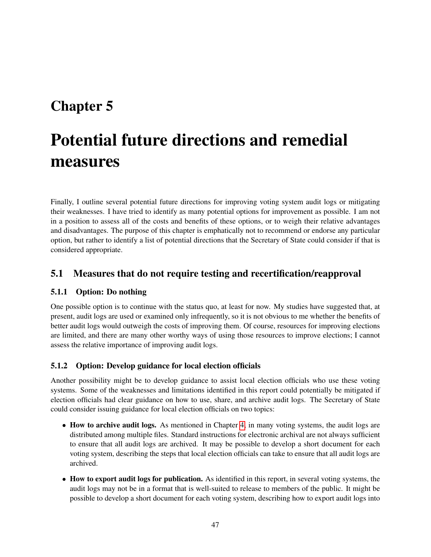# <span id="page-47-0"></span>Chapter 5

# Potential future directions and remedial measures

Finally, I outline several potential future directions for improving voting system audit logs or mitigating their weaknesses. I have tried to identify as many potential options for improvement as possible. I am not in a position to assess all of the costs and benefits of these options, or to weigh their relative advantages and disadvantages. The purpose of this chapter is emphatically not to recommend or endorse any particular option, but rather to identify a list of potential directions that the Secretary of State could consider if that is considered appropriate.

# <span id="page-47-1"></span>5.1 Measures that do not require testing and recertification/reapproval

### <span id="page-47-2"></span>5.1.1 Option: Do nothing

One possible option is to continue with the status quo, at least for now. My studies have suggested that, at present, audit logs are used or examined only infrequently, so it is not obvious to me whether the benefits of better audit logs would outweigh the costs of improving them. Of course, resources for improving elections are limited, and there are many other worthy ways of using those resources to improve elections; I cannot assess the relative importance of improving audit logs.

### <span id="page-47-3"></span>5.1.2 Option: Develop guidance for local election officials

Another possibility might be to develop guidance to assist local election officials who use these voting systems. Some of the weaknesses and limitations identified in this report could potentially be mitigated if election officials had clear guidance on how to use, share, and archive audit logs. The Secretary of State could consider issuing guidance for local election officials on two topics:

- How to archive audit logs. As mentioned in Chapter [4,](#page-32-0) in many voting systems, the audit logs are distributed among multiple files. Standard instructions for electronic archival are not always sufficient to ensure that all audit logs are archived. It may be possible to develop a short document for each voting system, describing the steps that local election officials can take to ensure that all audit logs are archived.
- How to export audit logs for publication. As identified in this report, in several voting systems, the audit logs may not be in a format that is well-suited to release to members of the public. It might be possible to develop a short document for each voting system, describing how to export audit logs into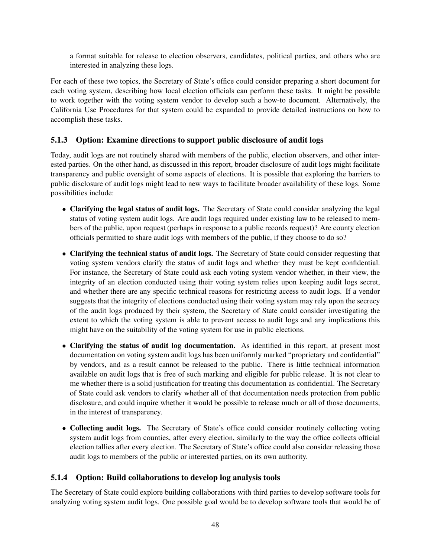a format suitable for release to election observers, candidates, political parties, and others who are interested in analyzing these logs.

For each of these two topics, the Secretary of State's office could consider preparing a short document for each voting system, describing how local election officials can perform these tasks. It might be possible to work together with the voting system vendor to develop such a how-to document. Alternatively, the California Use Procedures for that system could be expanded to provide detailed instructions on how to accomplish these tasks.

## <span id="page-48-0"></span>5.1.3 Option: Examine directions to support public disclosure of audit logs

Today, audit logs are not routinely shared with members of the public, election observers, and other interested parties. On the other hand, as discussed in this report, broader disclosure of audit logs might facilitate transparency and public oversight of some aspects of elections. It is possible that exploring the barriers to public disclosure of audit logs might lead to new ways to facilitate broader availability of these logs. Some possibilities include:

- Clarifying the legal status of audit logs. The Secretary of State could consider analyzing the legal status of voting system audit logs. Are audit logs required under existing law to be released to members of the public, upon request (perhaps in response to a public records request)? Are county election officials permitted to share audit logs with members of the public, if they choose to do so?
- Clarifying the technical status of audit logs. The Secretary of State could consider requesting that voting system vendors clarify the status of audit logs and whether they must be kept confidential. For instance, the Secretary of State could ask each voting system vendor whether, in their view, the integrity of an election conducted using their voting system relies upon keeping audit logs secret, and whether there are any specific technical reasons for restricting access to audit logs. If a vendor suggests that the integrity of elections conducted using their voting system may rely upon the secrecy of the audit logs produced by their system, the Secretary of State could consider investigating the extent to which the voting system is able to prevent access to audit logs and any implications this might have on the suitability of the voting system for use in public elections.
- Clarifying the status of audit log documentation. As identified in this report, at present most documentation on voting system audit logs has been uniformly marked "proprietary and confidential" by vendors, and as a result cannot be released to the public. There is little technical information available on audit logs that is free of such marking and eligible for public release. It is not clear to me whether there is a solid justification for treating this documentation as confidential. The Secretary of State could ask vendors to clarify whether all of that documentation needs protection from public disclosure, and could inquire whether it would be possible to release much or all of those documents, in the interest of transparency.
- Collecting audit logs. The Secretary of State's office could consider routinely collecting voting system audit logs from counties, after every election, similarly to the way the office collects official election tallies after every election. The Secretary of State's office could also consider releasing those audit logs to members of the public or interested parties, on its own authority.

## <span id="page-48-1"></span>5.1.4 Option: Build collaborations to develop log analysis tools

The Secretary of State could explore building collaborations with third parties to develop software tools for analyzing voting system audit logs. One possible goal would be to develop software tools that would be of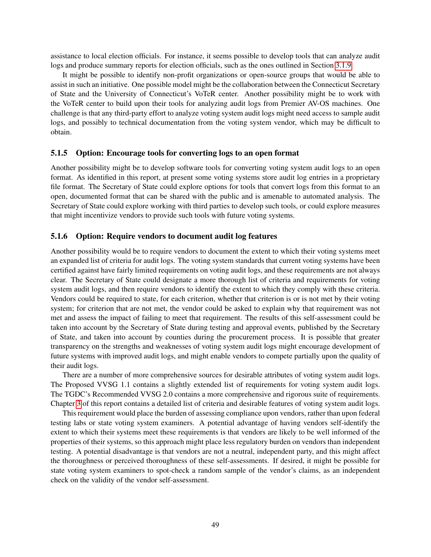assistance to local election officials. For instance, it seems possible to develop tools that can analyze audit logs and produce summary reports for election officials, such as the ones outlined in Section [3.1.9.](#page-25-0)

It might be possible to identify non-profit organizations or open-source groups that would be able to assist in such an initiative. One possible model might be the collaboration between the Connecticut Secretary of State and the University of Connecticut's VoTeR center. Another possibility might be to work with the VoTeR center to build upon their tools for analyzing audit logs from Premier AV-OS machines. One challenge is that any third-party effort to analyze voting system audit logs might need access to sample audit logs, and possibly to technical documentation from the voting system vendor, which may be difficult to obtain.

#### <span id="page-49-0"></span>5.1.5 Option: Encourage tools for converting logs to an open format

Another possibility might be to develop software tools for converting voting system audit logs to an open format. As identified in this report, at present some voting systems store audit log entries in a proprietary file format. The Secretary of State could explore options for tools that convert logs from this format to an open, documented format that can be shared with the public and is amenable to automated analysis. The Secretary of State could explore working with third parties to develop such tools, or could explore measures that might incentivize vendors to provide such tools with future voting systems.

#### <span id="page-49-1"></span>5.1.6 Option: Require vendors to document audit log features

Another possibility would be to require vendors to document the extent to which their voting systems meet an expanded list of criteria for audit logs. The voting system standards that current voting systems have been certified against have fairly limited requirements on voting audit logs, and these requirements are not always clear. The Secretary of State could designate a more thorough list of criteria and requirements for voting system audit logs, and then require vendors to identify the extent to which they comply with these criteria. Vendors could be required to state, for each criterion, whether that criterion is or is not met by their voting system; for criterion that are not met, the vendor could be asked to explain why that requirement was not met and assess the impact of failing to meet that requirement. The results of this self-assessment could be taken into account by the Secretary of State during testing and approval events, published by the Secretary of State, and taken into account by counties during the procurement process. It is possible that greater transparency on the strengths and weaknesses of voting system audit logs might encourage development of future systems with improved audit logs, and might enable vendors to compete partially upon the quality of their audit logs.

There are a number of more comprehensive sources for desirable attributes of voting system audit logs. The Proposed VVSG 1.1 contains a slightly extended list of requirements for voting system audit logs. The TGDC's Recommended VVSG 2.0 contains a more comprehensive and rigorous suite of requirements. Chapter [3](#page-14-0) of this report contains a detailed list of criteria and desirable features of voting system audit logs.

This requirement would place the burden of assessing compliance upon vendors, rather than upon federal testing labs or state voting system examiners. A potential advantage of having vendors self-identify the extent to which their systems meet these requirements is that vendors are likely to be well informed of the properties of their systems, so this approach might place less regulatory burden on vendors than independent testing. A potential disadvantage is that vendors are not a neutral, independent party, and this might affect the thoroughness or perceived thoroughness of these self-assessments. If desired, it might be possible for state voting system examiners to spot-check a random sample of the vendor's claims, as an independent check on the validity of the vendor self-assessment.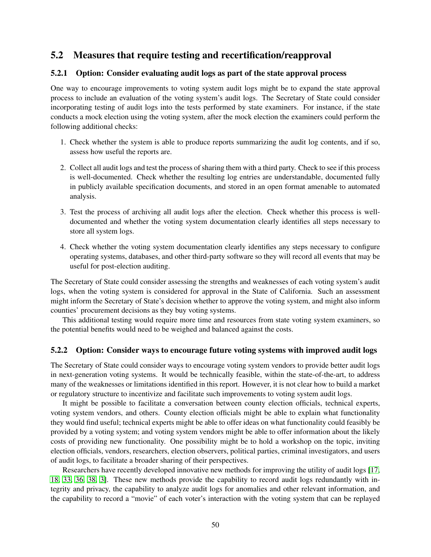# <span id="page-50-0"></span>5.2 Measures that require testing and recertification/reapproval

#### <span id="page-50-1"></span>5.2.1 Option: Consider evaluating audit logs as part of the state approval process

One way to encourage improvements to voting system audit logs might be to expand the state approval process to include an evaluation of the voting system's audit logs. The Secretary of State could consider incorporating testing of audit logs into the tests performed by state examiners. For instance, if the state conducts a mock election using the voting system, after the mock election the examiners could perform the following additional checks:

- 1. Check whether the system is able to produce reports summarizing the audit log contents, and if so, assess how useful the reports are.
- 2. Collect all audit logs and test the process of sharing them with a third party. Check to see if this process is well-documented. Check whether the resulting log entries are understandable, documented fully in publicly available specification documents, and stored in an open format amenable to automated analysis.
- 3. Test the process of archiving all audit logs after the election. Check whether this process is welldocumented and whether the voting system documentation clearly identifies all steps necessary to store all system logs.
- 4. Check whether the voting system documentation clearly identifies any steps necessary to configure operating systems, databases, and other third-party software so they will record all events that may be useful for post-election auditing.

The Secretary of State could consider assessing the strengths and weaknesses of each voting system's audit logs, when the voting system is considered for approval in the State of California. Such an assessment might inform the Secretary of State's decision whether to approve the voting system, and might also inform counties' procurement decisions as they buy voting systems.

This additional testing would require more time and resources from state voting system examiners, so the potential benefits would need to be weighed and balanced against the costs.

#### <span id="page-50-2"></span>5.2.2 Option: Consider ways to encourage future voting systems with improved audit logs

The Secretary of State could consider ways to encourage voting system vendors to provide better audit logs in next-generation voting systems. It would be technically feasible, within the state-of-the-art, to address many of the weaknesses or limitations identified in this report. However, it is not clear how to build a market or regulatory structure to incentivize and facilitate such improvements to voting system audit logs.

It might be possible to facilitate a conversation between county election officials, technical experts, voting system vendors, and others. County election officials might be able to explain what functionality they would find useful; technical experts might be able to offer ideas on what functionality could feasibly be provided by a voting system; and voting system vendors might be able to offer information about the likely costs of providing new functionality. One possibility might be to hold a workshop on the topic, inviting election officials, vendors, researchers, election observers, political parties, criminal investigators, and users of audit logs, to facilitate a broader sharing of their perspectives.

Researchers have recently developed innovative new methods for improving the utility of audit logs [\[17,](#page-55-0) [18,](#page-55-6) [33,](#page-56-0) [36,](#page-56-2) [38,](#page-56-3) [3\]](#page-54-0). These new methods provide the capability to record audit logs redundantly with integrity and privacy, the capability to analyze audit logs for anomalies and other relevant information, and the capability to record a "movie" of each voter's interaction with the voting system that can be replayed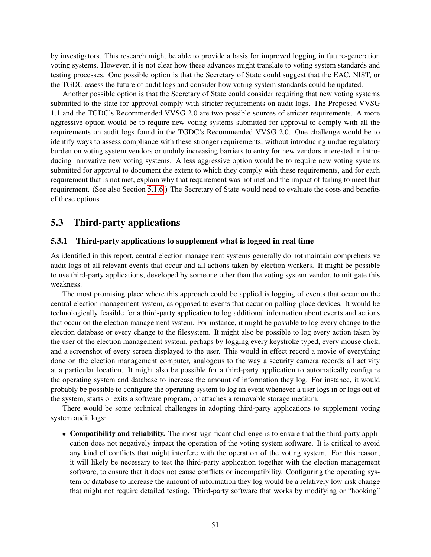by investigators. This research might be able to provide a basis for improved logging in future-generation voting systems. However, it is not clear how these advances might translate to voting system standards and testing processes. One possible option is that the Secretary of State could suggest that the EAC, NIST, or the TGDC assess the future of audit logs and consider how voting system standards could be updated.

Another possible option is that the Secretary of State could consider requiring that new voting systems submitted to the state for approval comply with stricter requirements on audit logs. The Proposed VVSG 1.1 and the TGDC's Recommended VVSG 2.0 are two possible sources of stricter requirements. A more aggressive option would be to require new voting systems submitted for approval to comply with all the requirements on audit logs found in the TGDC's Recommended VVSG 2.0. One challenge would be to identify ways to assess compliance with these stronger requirements, without introducing undue regulatory burden on voting system vendors or unduly increasing barriers to entry for new vendors interested in introducing innovative new voting systems. A less aggressive option would be to require new voting systems submitted for approval to document the extent to which they comply with these requirements, and for each requirement that is not met, explain why that requirement was not met and the impact of failing to meet that requirement. (See also Section [5.1.6.](#page-49-1)) The Secretary of State would need to evaluate the costs and benefits of these options.

## <span id="page-51-0"></span>5.3 Third-party applications

#### <span id="page-51-1"></span>5.3.1 Third-party applications to supplement what is logged in real time

As identified in this report, central election management systems generally do not maintain comprehensive audit logs of all relevant events that occur and all actions taken by election workers. It might be possible to use third-party applications, developed by someone other than the voting system vendor, to mitigate this weakness.

The most promising place where this approach could be applied is logging of events that occur on the central election management system, as opposed to events that occur on polling-place devices. It would be technologically feasible for a third-party application to log additional information about events and actions that occur on the election management system. For instance, it might be possible to log every change to the election database or every change to the filesystem. It might also be possible to log every action taken by the user of the election management system, perhaps by logging every keystroke typed, every mouse click, and a screenshot of every screen displayed to the user. This would in effect record a movie of everything done on the election management computer, analogous to the way a security camera records all activity at a particular location. It might also be possible for a third-party application to automatically configure the operating system and database to increase the amount of information they log. For instance, it would probably be possible to configure the operating system to log an event whenever a user logs in or logs out of the system, starts or exits a software program, or attaches a removable storage medium.

There would be some technical challenges in adopting third-party applications to supplement voting system audit logs:

• Compatibility and reliability. The most significant challenge is to ensure that the third-party application does not negatively impact the operation of the voting system software. It is critical to avoid any kind of conflicts that might interfere with the operation of the voting system. For this reason, it will likely be necessary to test the third-party application together with the election management software, to ensure that it does not cause conflicts or incompatibility. Configuring the operating system or database to increase the amount of information they log would be a relatively low-risk change that might not require detailed testing. Third-party software that works by modifying or "hooking"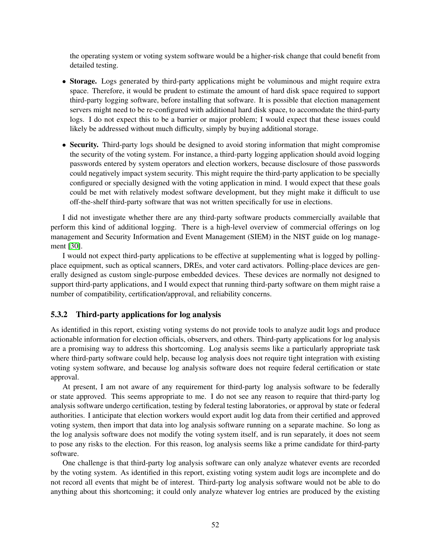the operating system or voting system software would be a higher-risk change that could benefit from detailed testing.

- Storage. Logs generated by third-party applications might be voluminous and might require extra space. Therefore, it would be prudent to estimate the amount of hard disk space required to support third-party logging software, before installing that software. It is possible that election management servers might need to be re-configured with additional hard disk space, to accomodate the third-party logs. I do not expect this to be a barrier or major problem; I would expect that these issues could likely be addressed without much difficulty, simply by buying additional storage.
- Security. Third-party logs should be designed to avoid storing information that might compromise the security of the voting system. For instance, a third-party logging application should avoid logging passwords entered by system operators and election workers, because disclosure of those passwords could negatively impact system security. This might require the third-party application to be specially configured or specially designed with the voting application in mind. I would expect that these goals could be met with relatively modest software development, but they might make it difficult to use off-the-shelf third-party software that was not written specifically for use in elections.

I did not investigate whether there are any third-party software products commercially available that perform this kind of additional logging. There is a high-level overview of commercial offerings on log management and Security Information and Event Management (SIEM) in the NIST guide on log management [\[30\]](#page-55-5).

I would not expect third-party applications to be effective at supplementing what is logged by pollingplace equipment, such as optical scanners, DREs, and voter card activators. Polling-place devices are generally designed as custom single-purpose embedded devices. These devices are normally not designed to support third-party applications, and I would expect that running third-party software on them might raise a number of compatibility, certification/approval, and reliability concerns.

#### <span id="page-52-0"></span>5.3.2 Third-party applications for log analysis

As identified in this report, existing voting systems do not provide tools to analyze audit logs and produce actionable information for election officials, observers, and others. Third-party applications for log analysis are a promising way to address this shortcoming. Log analysis seems like a particularly appropriate task where third-party software could help, because log analysis does not require tight integration with existing voting system software, and because log analysis software does not require federal certification or state approval.

At present, I am not aware of any requirement for third-party log analysis software to be federally or state approved. This seems appropriate to me. I do not see any reason to require that third-party log analysis software undergo certification, testing by federal testing laboratories, or approval by state or federal authorities. I anticipate that election workers would export audit log data from their certified and approved voting system, then import that data into log analysis software running on a separate machine. So long as the log analysis software does not modify the voting system itself, and is run separately, it does not seem to pose any risks to the election. For this reason, log analysis seems like a prime candidate for third-party software.

One challenge is that third-party log analysis software can only analyze whatever events are recorded by the voting system. As identified in this report, existing voting system audit logs are incomplete and do not record all events that might be of interest. Third-party log analysis software would not be able to do anything about this shortcoming; it could only analyze whatever log entries are produced by the existing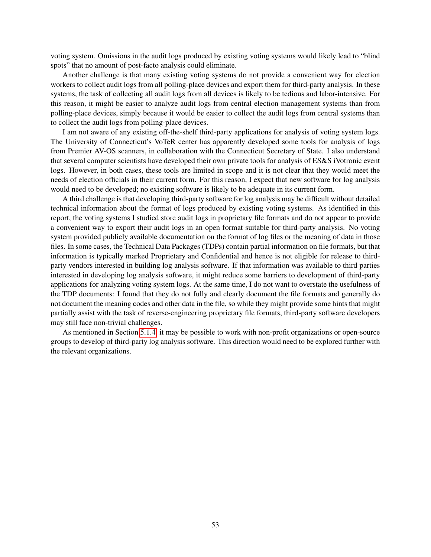voting system. Omissions in the audit logs produced by existing voting systems would likely lead to "blind spots" that no amount of post-facto analysis could eliminate.

Another challenge is that many existing voting systems do not provide a convenient way for election workers to collect audit logs from all polling-place devices and export them for third-party analysis. In these systems, the task of collecting all audit logs from all devices is likely to be tedious and labor-intensive. For this reason, it might be easier to analyze audit logs from central election management systems than from polling-place devices, simply because it would be easier to collect the audit logs from central systems than to collect the audit logs from polling-place devices.

I am not aware of any existing off-the-shelf third-party applications for analysis of voting system logs. The University of Connecticut's VoTeR center has apparently developed some tools for analysis of logs from Premier AV-OS scanners, in collaboration with the Connecticut Secretary of State. I also understand that several computer scientists have developed their own private tools for analysis of ES&S iVotronic event logs. However, in both cases, these tools are limited in scope and it is not clear that they would meet the needs of election officials in their current form. For this reason, I expect that new software for log analysis would need to be developed; no existing software is likely to be adequate in its current form.

A third challenge is that developing third-party software for log analysis may be difficult without detailed technical information about the format of logs produced by existing voting systems. As identified in this report, the voting systems I studied store audit logs in proprietary file formats and do not appear to provide a convenient way to export their audit logs in an open format suitable for third-party analysis. No voting system provided publicly available documentation on the format of log files or the meaning of data in those files. In some cases, the Technical Data Packages (TDPs) contain partial information on file formats, but that information is typically marked Proprietary and Confidential and hence is not eligible for release to thirdparty vendors interested in building log analysis software. If that information was available to third parties interested in developing log analysis software, it might reduce some barriers to development of third-party applications for analyzing voting system logs. At the same time, I do not want to overstate the usefulness of the TDP documents: I found that they do not fully and clearly document the file formats and generally do not document the meaning codes and other data in the file, so while they might provide some hints that might partially assist with the task of reverse-engineering proprietary file formats, third-party software developers may still face non-trivial challenges.

<span id="page-53-0"></span>As mentioned in Section [5.1.4,](#page-48-1) it may be possible to work with non-profit organizations or open-source groups to develop of third-party log analysis software. This direction would need to be explored further with the relevant organizations.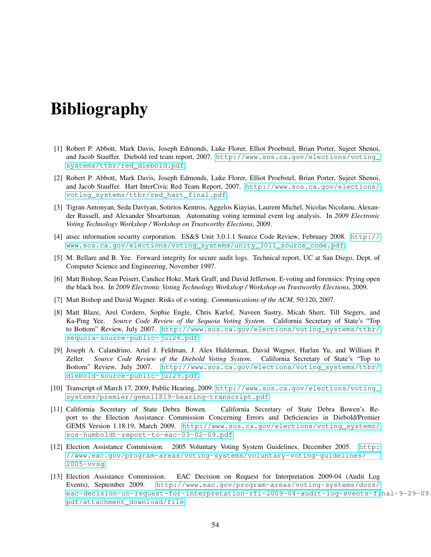# Bibliography

- <span id="page-54-10"></span>[1] Robert P. Abbott, Mark Davis, Joseph Edmonds, Luke Florer, Elliot Proebstel, Brian Porter, Sujeet Shenoi, and Jacob Stauffer. Diebold red team report, 2007. [http://www.sos.ca.gov/elections/voting\\_](http://www.sos.ca.gov/elections/voting_systems/ttbr/red_diebold.pdf) [systems/ttbr/red\\_diebold.pdf](http://www.sos.ca.gov/elections/voting_systems/ttbr/red_diebold.pdf).
- <span id="page-54-9"></span>[2] Robert P. Abbott, Mark Davis, Joseph Edmonds, Luke Florer, Elliot Proebstel, Brian Porter, Sujeet Shenoi, and Jacob Stauffer. Hart InterCivic Red Team Report, 2007. [http://www.sos.ca.gov/elections/](http://www.sos.ca.gov/elections/voting_systems/ttbr/red_hart_final.pdf) [voting\\_systems/ttbr/red\\_hart\\_final.pdf](http://www.sos.ca.gov/elections/voting_systems/ttbr/red_hart_final.pdf).
- <span id="page-54-0"></span>[3] Tigran Antonyan, Seda Davtyan, Sotirios Kentros, Aggelos Kiayias, Laurent Michel, Nicolas Nicolaou, Alexander Russell, and Alexander Shvartsman. Automating voting terminal event log analysis. In *2009 Electronic Voting Technology Workshop / Workshop on Trustworthy Elections*, 2009.
- <span id="page-54-8"></span>[4] atsec information security corporation. ES&S Unit 3.0.1.1 Source Code Review, February 2008. [http://](http://www.sos.ca.gov/elections/voting_systems/unity_3011_source_code.pdf) [www.sos.ca.gov/elections/voting\\_systems/unity\\_3011\\_source\\_code.pdf](http://www.sos.ca.gov/elections/voting_systems/unity_3011_source_code.pdf).
- <span id="page-54-1"></span>[5] M. Bellare and B. Yee. Forward integrity for secure audit logs. Technical report, UC at San Diego, Dept. of Computer Science and Engineering, November 1997.
- <span id="page-54-2"></span>[6] Matt Bishop, Sean Peisert, Candice Hoke, Mark Graff, and David Jefferson. E-voting and forensics: Prying open the black box. In *2009 Electronic Voting Technology Workshop / Workshop on Trustworthy Elections*, 2009.
- <span id="page-54-3"></span>[7] Matt Bishop and David Wagner. Risks of e-voting. *Communications of the ACM*, 50:120, 2007.
- <span id="page-54-12"></span>[8] Matt Blaze, Arel Cordero, Sophie Engle, Chris Karlof, Naveen Sastry, Micah Sherr, Till Stegers, and Ka-Ping Yee. *Source Code Review of the Sequoia Voting System*. California Secretary of State's "Top to Bottom" Review, July 2007. [http://www.sos.ca.gov/elections/voting\\_systems/ttbr/](http://www.sos.ca.gov/elections/voting_systems/ttbr/sequoia-source-public-jul26.pdf) [sequoia-source-public-jul26.pdf](http://www.sos.ca.gov/elections/voting_systems/ttbr/sequoia-source-public-jul26.pdf).
- <span id="page-54-11"></span>[9] Joseph A. Calandrino, Ariel J. Feldman, J. Alex Halderman, David Wagner, Harlan Yu, and William P. Zeller. *Source Code Review of the Diebold Voting System*. California Secretary of State's "Top to Bottom" Review, July 2007. [http://www.sos.ca.gov/elections/voting\\_systems/ttbr/](http://www.sos.ca.gov/elections/voting_systems/ttbr/diebold-source-public-jul29.pdf) [diebold-source-public-jul29.pdf](http://www.sos.ca.gov/elections/voting_systems/ttbr/diebold-source-public-jul29.pdf).
- <span id="page-54-7"></span>[10] Transcript of March 17, 2009, Public Hearing, 2009. [http://www.sos.ca.gov/elections/voting\\_](http://www.sos.ca.gov/elections/voting_systems/premier/gems11819-hearing-transcript.pdf) [systems/premier/gems11819-hearing-transcript.pdf](http://www.sos.ca.gov/elections/voting_systems/premier/gems11819-hearing-transcript.pdf).
- <span id="page-54-6"></span>[11] California Secretary of State Debra Bowen. California Secretary of State Debra Bowen's Report to the Election Assistance Commission Concerning Errors and Deficiencies in Diebold/Premier GEMS Version 1.18.19, March 2009. [http://www.sos.ca.gov/elections/voting\\_systems/](http://www.sos.ca.gov/elections/voting_systems/sos-humboldt-report-to-eac-03-02-09.pdf) [sos-humboldt-report-to-eac-03-02-09.pdf](http://www.sos.ca.gov/elections/voting_systems/sos-humboldt-report-to-eac-03-02-09.pdf).
- <span id="page-54-4"></span>[12] Election Assistance Commission. 2005 Voluntary Voting System Guidelines, December 2005. [http:](http://www.eac.gov/program-areas/voting-systems/voluntary-voting-guidelines/2005-vvsg) [//www.eac.gov/program-areas/voting-systems/voluntary-voting-guidelines/](http://www.eac.gov/program-areas/voting-systems/voluntary-voting-guidelines/2005-vvsg) [2005-vvsg](http://www.eac.gov/program-areas/voting-systems/voluntary-voting-guidelines/2005-vvsg).
- <span id="page-54-5"></span>[13] Election Assistance Commission. EAC Decision on Request for Interpretation 2009-04 (Audit Log Events), September 2009. [http://www.eac.gov/program-areas/voting-systems/docs/](http://www.eac.gov/program-areas/voting-systems/docs/eac-decision-on-request-for-interpretation-rfi-2009-04-audit-log-events-final-9-29-09.pdf/attachment_download/file) [eac-decision-on-request-for-interpretation-rfi-2009-04-audit-log-events-fi](http://www.eac.gov/program-areas/voting-systems/docs/eac-decision-on-request-for-interpretation-rfi-2009-04-audit-log-events-final-9-29-09.pdf/attachment_download/file)nal-9-29-09. [pdf/attachment\\_download/file](http://www.eac.gov/program-areas/voting-systems/docs/eac-decision-on-request-for-interpretation-rfi-2009-04-audit-log-events-final-9-29-09.pdf/attachment_download/file).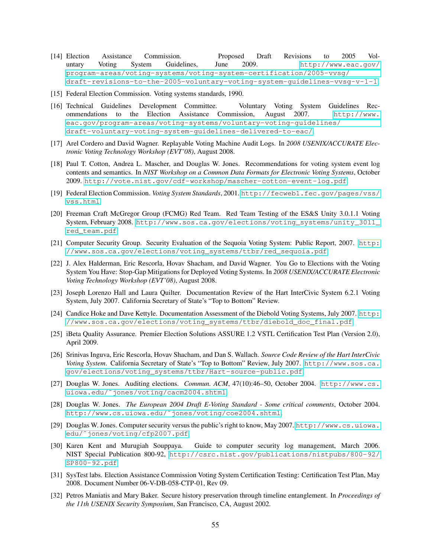- <span id="page-55-10"></span>[14] Election Assistance Commission. Proposed Draft Revisions to 2005 Voluntary Voting System Guidelines, June 2009. [http://www.eac.gov/](http://www.eac.gov/program-areas/voting-systems/voting-system-certification/2005-vvsg/draft-revisions-to-the-2005-voluntary-voting-system-guidelines-vvsg-v-1-1) [program-areas/voting-systems/voting-system-certification/2005-vvsg/](http://www.eac.gov/program-areas/voting-systems/voting-system-certification/2005-vvsg/draft-revisions-to-the-2005-voluntary-voting-system-guidelines-vvsg-v-1-1) [draft-revisions-to-the-2005-voluntary-voting-system-guidelines-vvsg-v-1-1](http://www.eac.gov/program-areas/voting-systems/voting-system-certification/2005-vvsg/draft-revisions-to-the-2005-voluntary-voting-system-guidelines-vvsg-v-1-1).
- <span id="page-55-8"></span>[15] Federal Election Commission. Voting systems standards, 1990.
- <span id="page-55-11"></span>[16] Technical Guidelines Development Committee. Voluntary Voting System Guidelines Recommendations to the Election Assistance Commission, August 2007. [http://www.](http://www.eac.gov/program-areas/voting-systems/voluntary-voting-guidelines/draft-voluntary-voting-system-guidelines-delivered-to-eac/) [eac.gov/program-areas/voting-systems/voluntary-voting-guidelines/](http://www.eac.gov/program-areas/voting-systems/voluntary-voting-guidelines/draft-voluntary-voting-system-guidelines-delivered-to-eac/) [draft-voluntary-voting-system-guidelines-delivered-to-eac/](http://www.eac.gov/program-areas/voting-systems/voluntary-voting-guidelines/draft-voluntary-voting-system-guidelines-delivered-to-eac/).
- <span id="page-55-0"></span>[17] Arel Cordero and David Wagner. Replayable Voting Machine Audit Logs. In *2008 USENIX/ACCURATE Electronic Voting Technology Workshop (EVT'08)*, August 2008.
- <span id="page-55-6"></span>[18] Paul T. Cotton, Andrea L. Mascher, and Douglas W. Jones. Recommendations for voting system event log contents and semantics. In *NIST Workshop on a Common Data Formats for Electronic Voting Systems*, October 2009. <http://vote.nist.gov/cdf-workshop/mascher-cotton-event-log.pdf>.
- <span id="page-55-9"></span>[19] Federal Election Commission. *Voting System Standards*, 2001. [http://fecweb1.fec.gov/pages/vss/](http://fecweb1.fec.gov/pages/vss/vss.html) [vss.html](http://fecweb1.fec.gov/pages/vss/vss.html).
- <span id="page-55-12"></span>[20] Freeman Craft McGregor Group (FCMG) Red Team. Red Team Testing of the ES&S Unity 3.0.1.1 Voting System, February 2008. [http://www.sos.ca.gov/elections/voting\\_systems/unity\\_3011\\_](http://www.sos.ca.gov/elections/voting_systems/unity_3011_red_team.pdf) [red\\_team.pdf](http://www.sos.ca.gov/elections/voting_systems/unity_3011_red_team.pdf).
- <span id="page-55-14"></span>[21] Computer Security Group. Security Evaluation of the Sequoia Voting System: Public Report, 2007. [http:](http://www.sos.ca.gov/elections/voting_systems/ttbr/red_sequoia.pdf) [//www.sos.ca.gov/elections/voting\\_systems/ttbr/red\\_sequoia.pdf](http://www.sos.ca.gov/elections/voting_systems/ttbr/red_sequoia.pdf).
- <span id="page-55-1"></span>[22] J. Alex Halderman, Eric Rescorla, Hovav Shacham, and David Wagner. You Go to Elections with the Voting System You Have: Stop-Gap Mitigations for Deployed Voting Systems. In *2008 USENIX/ACCURATE Electronic Voting Technology Workshop (EVT'08)*, August 2008.
- <span id="page-55-15"></span>[23] Joseph Lorenzo Hall and Laura Quilter. Documentation Review of the Hart InterCivic System 6.2.1 Voting System, July 2007. California Secretary of State's "Top to Bottom" Review.
- <span id="page-55-16"></span>[24] Candice Hoke and Dave Kettyle. Documentation Assessment of the Diebold Voting Systems, July 2007. [http:](http://www.sos.ca.gov/elections/voting_systems/ttbr/diebold_doc_final.pdf) [//www.sos.ca.gov/elections/voting\\_systems/ttbr/diebold\\_doc\\_final.pdf](http://www.sos.ca.gov/elections/voting_systems/ttbr/diebold_doc_final.pdf).
- <span id="page-55-18"></span>[25] iBeta Quality Assurance. Premier Election Solutions ASSURE 1.2 VSTL Certification Test Plan (Version 2.0), April 2009.
- <span id="page-55-13"></span>[26] Srinivas Inguva, Eric Rescorla, Hovav Shacham, and Dan S. Wallach. *Source Code Review of the Hart InterCivic Voting System*. California Secretary of State's "Top to Bottom" Review, July 2007. [http://www.sos.ca.](http://www.sos.ca.gov/elections/voting_systems/ttbr/Hart-source-public.pdf) [gov/elections/voting\\_systems/ttbr/Hart-source-public.pdf](http://www.sos.ca.gov/elections/voting_systems/ttbr/Hart-source-public.pdf).
- <span id="page-55-2"></span>[27] Douglas W. Jones. Auditing elections. *Commun. ACM*, 47(10):46–50, October 2004. [http://www.cs.](http://www.cs.uiowa.edu/~jones/voting/cacm2004.shtml) [uiowa.edu/˜jones/voting/cacm2004.shtml](http://www.cs.uiowa.edu/~jones/voting/cacm2004.shtml).
- <span id="page-55-7"></span>[28] Douglas W. Jones. *The European 2004 Draft E-Voting Standard - Some critical comments*, October 2004. [http://www.cs.uiowa.edu/˜jones/voting/coe2004.shtml](http://www.cs.uiowa.edu/~jones/voting/coe2004.shtml).
- <span id="page-55-3"></span>[29] Douglas W. Jones. Computer security versus the public's right to know, May 2007. [http://www.cs.uiowa.](http://www.cs.uiowa.edu/~jones/voting/cfp2007.pdf) [edu/˜jones/voting/cfp2007.pdf](http://www.cs.uiowa.edu/~jones/voting/cfp2007.pdf).
- <span id="page-55-5"></span>[30] Karen Kent and Murugiah Souppaya. Guide to computer security log management, March 2006. NIST Special Publication 800-92, [http://csrc.nist.gov/publications/nistpubs/800-92/](http://csrc.nist.gov/publications/nistpubs/800-92/SP800-92.pdf) [SP800-92.pdf](http://csrc.nist.gov/publications/nistpubs/800-92/SP800-92.pdf).
- <span id="page-55-17"></span>[31] SysTest labs. Election Assistance Commission Voting System Certification Testing: Certification Test Plan, May 2008. Document Number 06-V-DB-058-CTP-01, Rev 09.
- <span id="page-55-4"></span>[32] Petros Maniatis and Mary Baker. Secure history preservation through timeline entanglement. In *Proceedings of the 11th USENIX Security Symposium*, San Francisco, CA, August 2002.